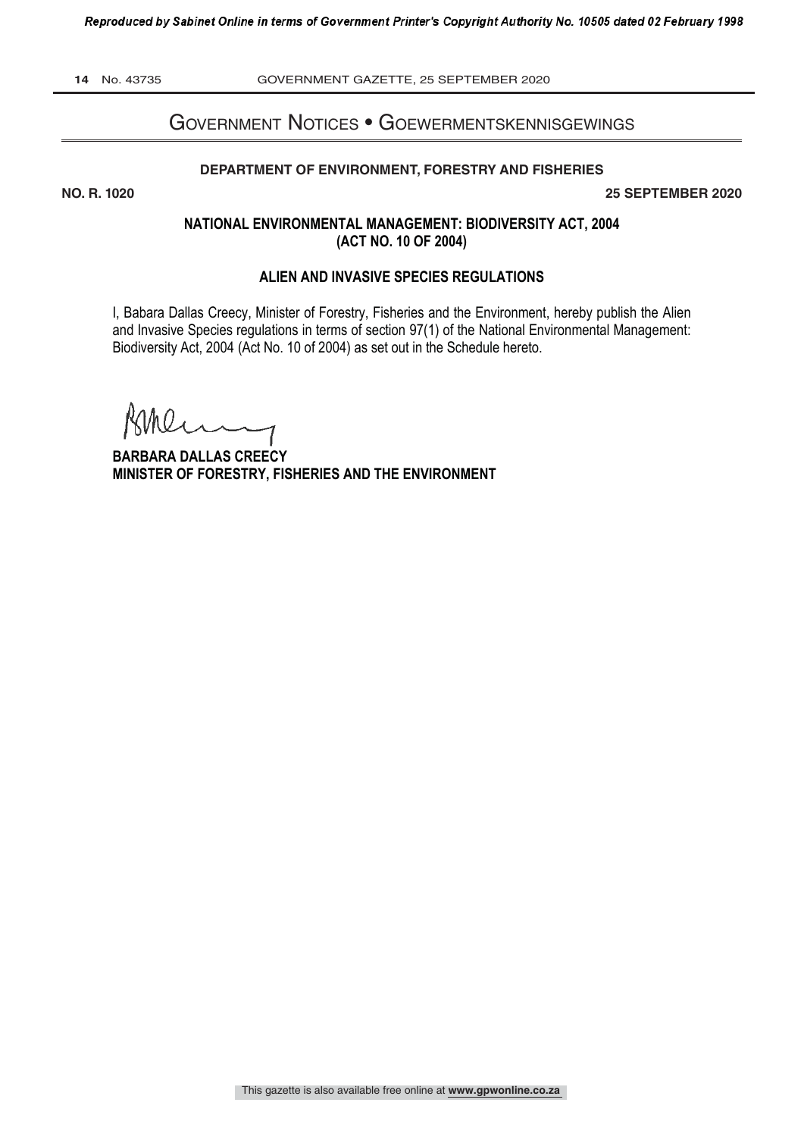**14** No. 43735 GOVERNMENT GAZETTE, 25 SEPTEMBER 2020

# Government notices • GoewermentskennisGewinGs

#### **DEPARTMENT OF ENVIRONMENT, FORESTRY AND FISHERIES**

**NO. R. 1020 25 SEPTEMBER 2020**

# **NATIONAL ENVIRONMENTAL MANAGEMENT: BIODIVERSITY ACT, 2004 (ACT NO. 10 OF 2004)**

#### **ALIEN AND INVASIVE SPECIES REGULATIONS**

I, Babara Dallas Creecy, Minister of Forestry, Fisheries and the Environment, hereby publish the Alien and Invasive Species regulations in terms of section 97(1) of the National Environmental Management: Biodiversity Act, 2004 (Act No. 10 of 2004) as set out in the Schedule hereto.

**BARBARA DALLAS CREECY MINISTER OF FORESTRY, FISHERIES AND THE ENVIRONMENT**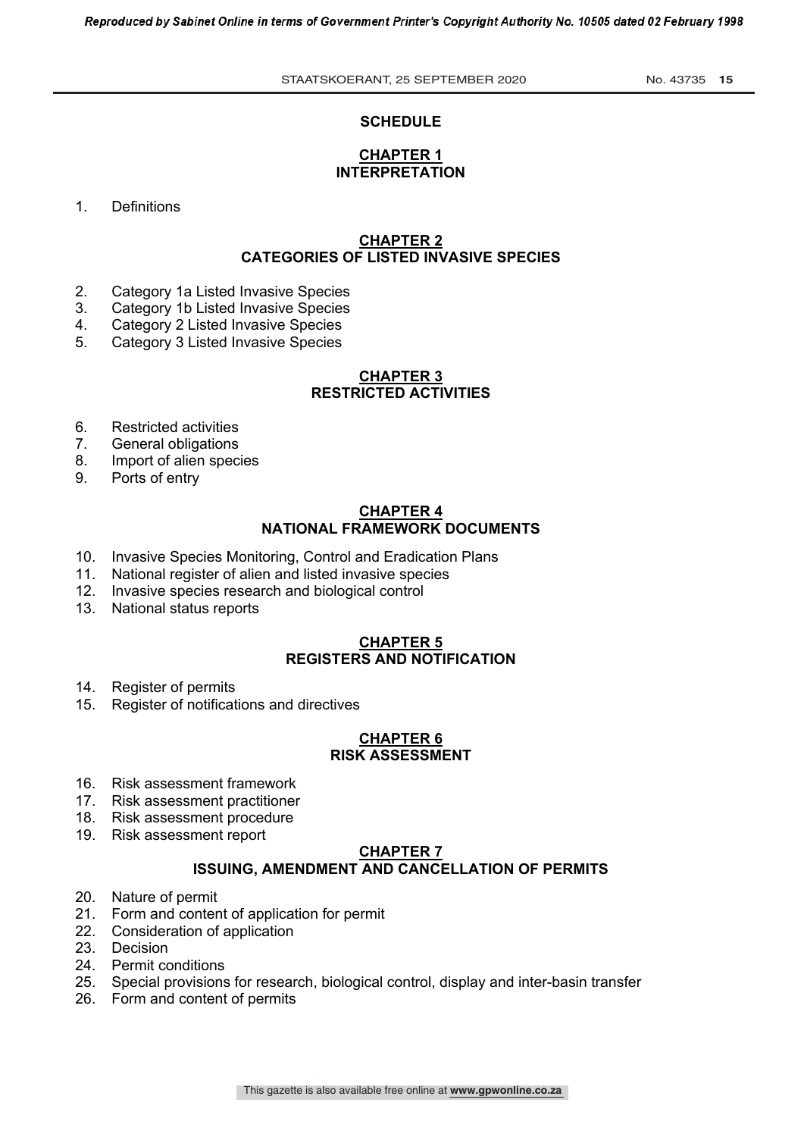#### **SCHEDULE**

# **CHAPTER 1 INTERPRETATION**

1. Definitions

#### **CHAPTER 2 CATEGORIES OF LISTED INVASIVE SPECIES**

- 2. Category 1a Listed Invasive Species<br>3. Category 1b Listed Invasive Species
- 3. Category 1b Listed Invasive Species<br>4. Category 2 Listed Invasive Species
- 4. Category 2 Listed Invasive Species
- 5. Category 3 Listed Invasive Species

#### **CHAPTER 3 RESTRICTED ACTIVITIES**

- 6. Restricted activities
- 7. General obligations
- 8. Import of alien species
- 9. Ports of entry

# **CHAPTER 4 NATIONAL FRAMEWORK DOCUMENTS**

- 10. Invasive Species Monitoring, Control and Eradication Plans<br>11. National register of alien and listed invasive species
- National register of alien and listed invasive species
- 12. Invasive species research and biological control
- 13. National status reports

# **CHAPTER 5 REGISTERS AND NOTIFICATION**

- 14. Register of permits
- 15. Register of notifications and directives

#### **CHAPTER 6 RISK ASSESSMENT**

- 16. Risk assessment framework
- 17. Risk assessment practitioner
- 18. Risk assessment procedure
- 19. Risk assessment report

#### **CHAPTER 7**

#### **ISSUING, AMENDMENT AND CANCELLATION OF PERMITS**

- 20. Nature of permit
- 21. Form and content of application for permit
- 22. Consideration of application
- 23. Decision
- 24. Permit conditions
- 25. Special provisions for research, biological control, display and inter-basin transfer
- 26. Form and content of permits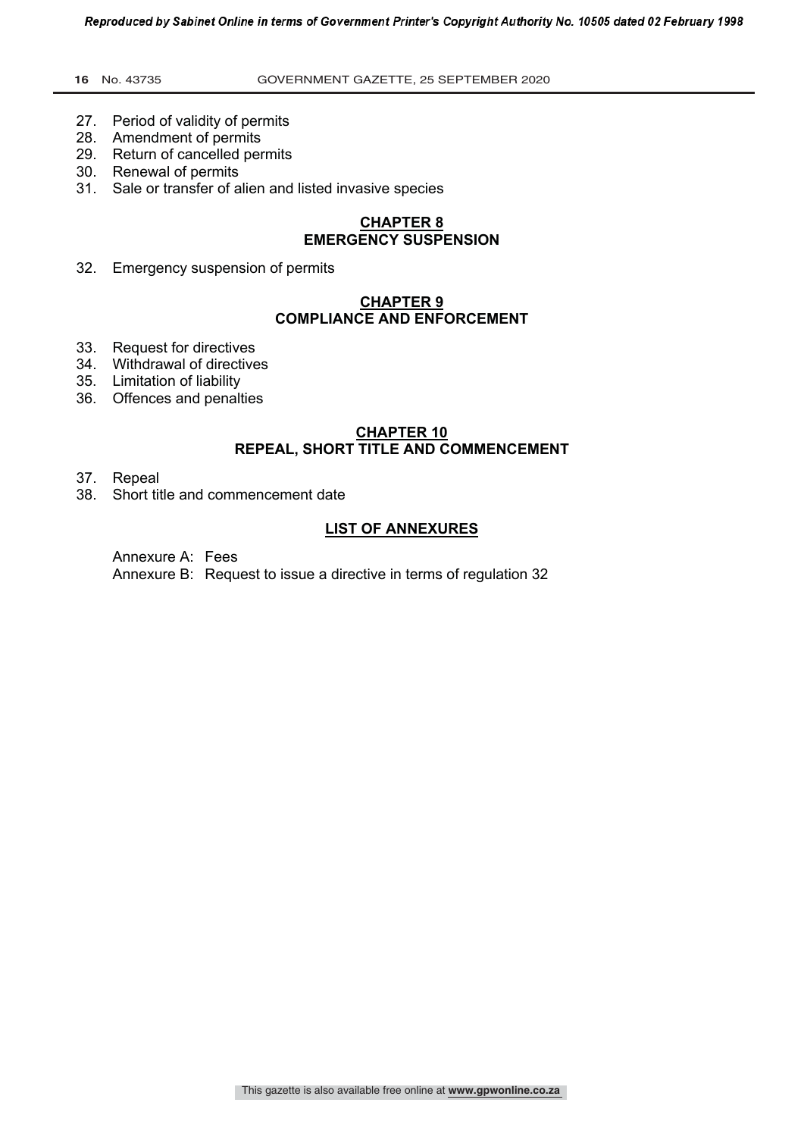#### **16** No. 43735 GOVERNMENT GAZETTE, 25 SEPTEMBER 2020

- 27. Period of validity of permits
- 28. Amendment of permits
- 29. Return of cancelled permits
- 30. Renewal of permits
- 31. Sale or transfer of alien and listed invasive species

#### **CHAPTER 8 EMERGENCY SUSPENSION**

32. Emergency suspension of permits

# **CHAPTER 9 COMPLIANCE AND ENFORCEMENT**

- 33. Request for directives
- 34. Withdrawal of directives
- 35. Limitation of liability
- 36. Offences and penalties

#### **CHAPTER 10 REPEAL, SHORT TITLE AND COMMENCEMENT**

- 37. Repeal
- 38. Short title and commencement date

#### **LIST OF ANNEXURES**

Annexure A: Fees

Annexure B: Request to issue a directive in terms of regulation 32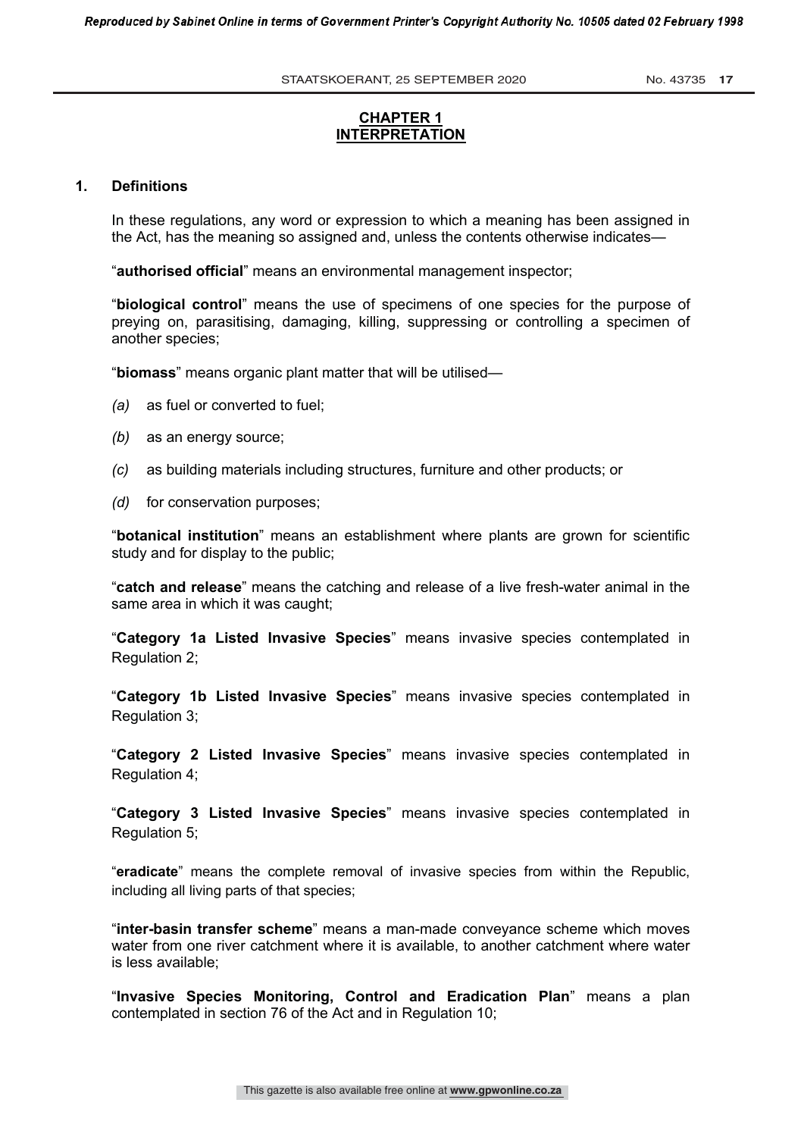STAATSKOERANT, 25 SEPTEMBER 2020 No. 43735 17

# **CHAPTER 1 INTERPRETATION**

#### **1. Definitions**

In these regulations, any word or expression to which a meaning has been assigned in the Act, has the meaning so assigned and, unless the contents otherwise indicates—

"**authorised official**" means an environmental management inspector;

"**biological control**" means the use of specimens of one species for the purpose of preying on, parasitising, damaging, killing, suppressing or controlling a specimen of another species;

"**biomass**" means organic plant matter that will be utilised—

- *(a)* as fuel or converted to fuel;
- *(b)* as an energy source;
- *(c)* as building materials including structures, furniture and other products; or
- *(d)* for conservation purposes;

"**botanical institution**" means an establishment where plants are grown for scientific study and for display to the public;

"**catch and release**" means the catching and release of a live fresh-water animal in the same area in which it was caught;

"**Category 1a Listed Invasive Species**" means invasive species contemplated in Regulation 2;

"**Category 1b Listed Invasive Species**" means invasive species contemplated in Regulation 3;

"**Category 2 Listed Invasive Species**" means invasive species contemplated in Regulation 4;

"**Category 3 Listed Invasive Species**" means invasive species contemplated in Regulation 5;

"**eradicate**" means the complete removal of invasive species from within the Republic, including all living parts of that species;

"**inter-basin transfer scheme**" means a man-made conveyance scheme which moves water from one river catchment where it is available, to another catchment where water is less available;

"**Invasive Species Monitoring, Control and Eradication Plan**" means a plan contemplated in section 76 of the Act and in Regulation 10;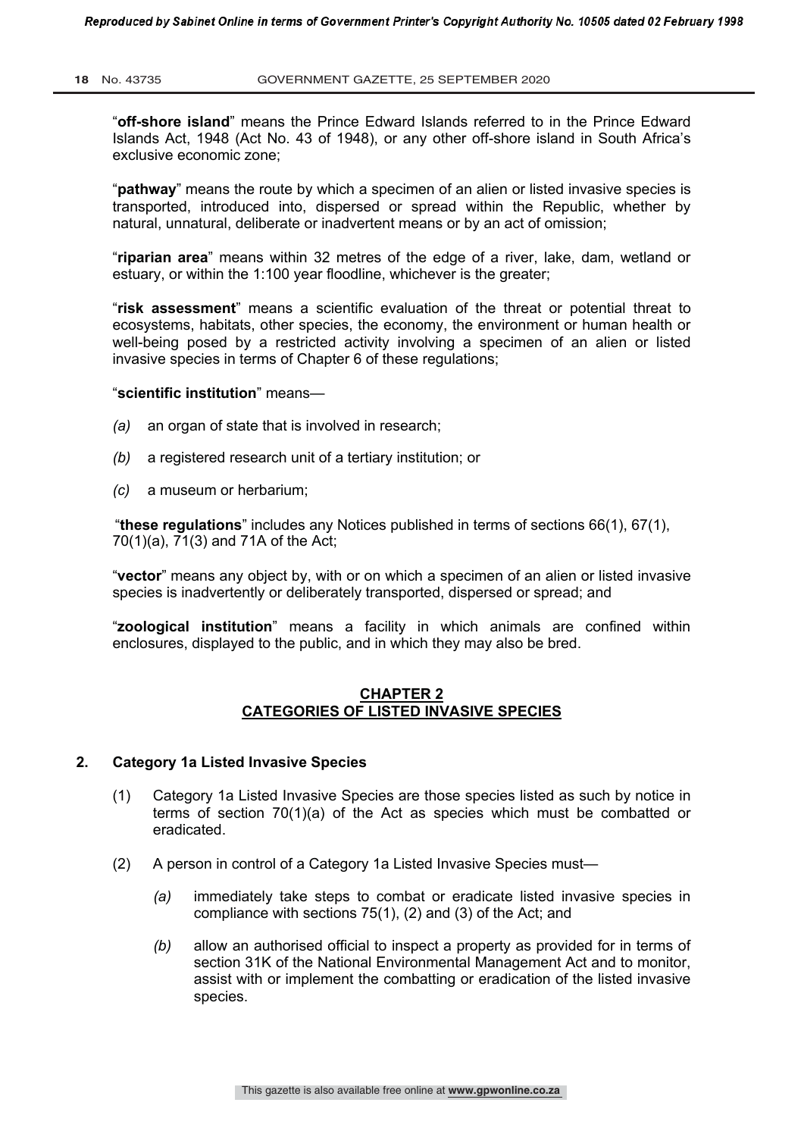"**off-shore island**" means the Prince Edward Islands referred to in the Prince Edward Islands Act, 1948 (Act No. 43 of 1948), or any other off-shore island in South Africa's exclusive economic zone;

"**pathway**" means the route by which a specimen of an alien or listed invasive species is transported, introduced into, dispersed or spread within the Republic, whether by natural, unnatural, deliberate or inadvertent means or by an act of omission;

"**riparian area**" means within 32 metres of the edge of a river, lake, dam, wetland or estuary, or within the 1:100 year floodline, whichever is the greater;

"**risk assessment**" means a scientific evaluation of the threat or potential threat to ecosystems, habitats, other species, the economy, the environment or human health or well-being posed by a restricted activity involving a specimen of an alien or listed invasive species in terms of Chapter 6 of these regulations;

#### "**scientific institution**" means—

- *(a)* an organ of state that is involved in research;
- *(b)* a registered research unit of a tertiary institution; or
- *(c)* a museum or herbarium;

"**these regulations**" includes any Notices published in terms of sections 66(1), 67(1), 70(1)(a), 71(3) and 71A of the Act;

"**vector**" means any object by, with or on which a specimen of an alien or listed invasive species is inadvertently or deliberately transported, dispersed or spread; and

"**zoological institution**" means a facility in which animals are confined within enclosures, displayed to the public, and in which they may also be bred.

#### **CHAPTER 2 CATEGORIES OF LISTED INVASIVE SPECIES**

#### **2. Category 1a Listed Invasive Species**

- (1) Category 1a Listed Invasive Species are those species listed as such by notice in terms of section 70(1)(a) of the Act as species which must be combatted or eradicated.
- (2) A person in control of a Category 1a Listed Invasive Species must—
	- *(a)* immediately take steps to combat or eradicate listed invasive species in compliance with sections 75(1), (2) and (3) of the Act; and
	- *(b)* allow an authorised official to inspect a property as provided for in terms of section 31K of the National Environmental Management Act and to monitor, assist with or implement the combatting or eradication of the listed invasive species.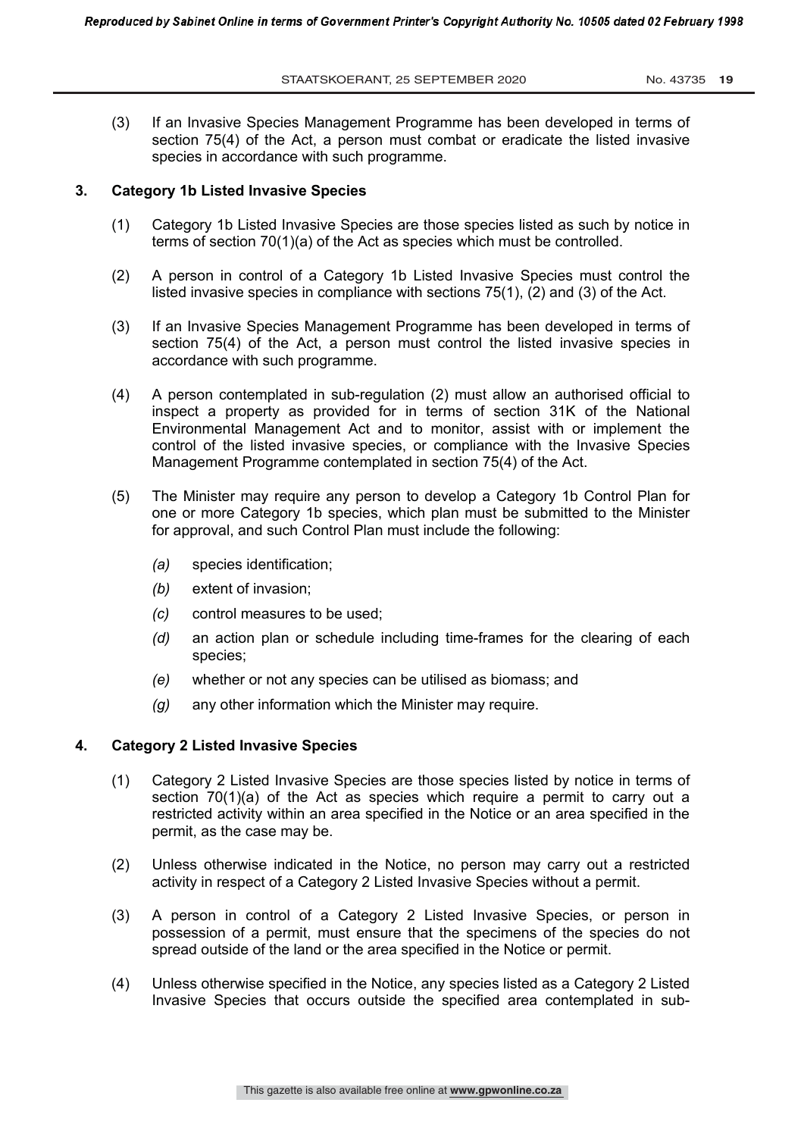(3) If an Invasive Species Management Programme has been developed in terms of section 75(4) of the Act, a person must combat or eradicate the listed invasive species in accordance with such programme.

#### **3. Category 1b Listed Invasive Species**

- (1) Category 1b Listed Invasive Species are those species listed as such by notice in terms of section 70(1)(a) of the Act as species which must be controlled.
- (2) A person in control of a Category 1b Listed Invasive Species must control the listed invasive species in compliance with sections 75(1), (2) and (3) of the Act.
- (3) If an Invasive Species Management Programme has been developed in terms of section 75(4) of the Act, a person must control the listed invasive species in accordance with such programme.
- (4) A person contemplated in sub-regulation (2) must allow an authorised official to inspect a property as provided for in terms of section 31K of the National Environmental Management Act and to monitor, assist with or implement the control of the listed invasive species, or compliance with the Invasive Species Management Programme contemplated in section 75(4) of the Act.
- (5) The Minister may require any person to develop a Category 1b Control Plan for one or more Category 1b species, which plan must be submitted to the Minister for approval, and such Control Plan must include the following:
	- *(a)* species identification;
	- *(b)* extent of invasion;
	- *(c)* control measures to be used;
	- *(d)* an action plan or schedule including time-frames for the clearing of each species;
	- *(e)* whether or not any species can be utilised as biomass; and
	- *(g)* any other information which the Minister may require.

#### **4. Category 2 Listed Invasive Species**

- (1) Category 2 Listed Invasive Species are those species listed by notice in terms of section 70(1)(a) of the Act as species which require a permit to carry out a restricted activity within an area specified in the Notice or an area specified in the permit, as the case may be.
- (2) Unless otherwise indicated in the Notice, no person may carry out a restricted activity in respect of a Category 2 Listed Invasive Species without a permit.
- (3) A person in control of a Category 2 Listed Invasive Species, or person in possession of a permit, must ensure that the specimens of the species do not spread outside of the land or the area specified in the Notice or permit.
- (4) Unless otherwise specified in the Notice, any species listed as a Category 2 Listed Invasive Species that occurs outside the specified area contemplated in sub-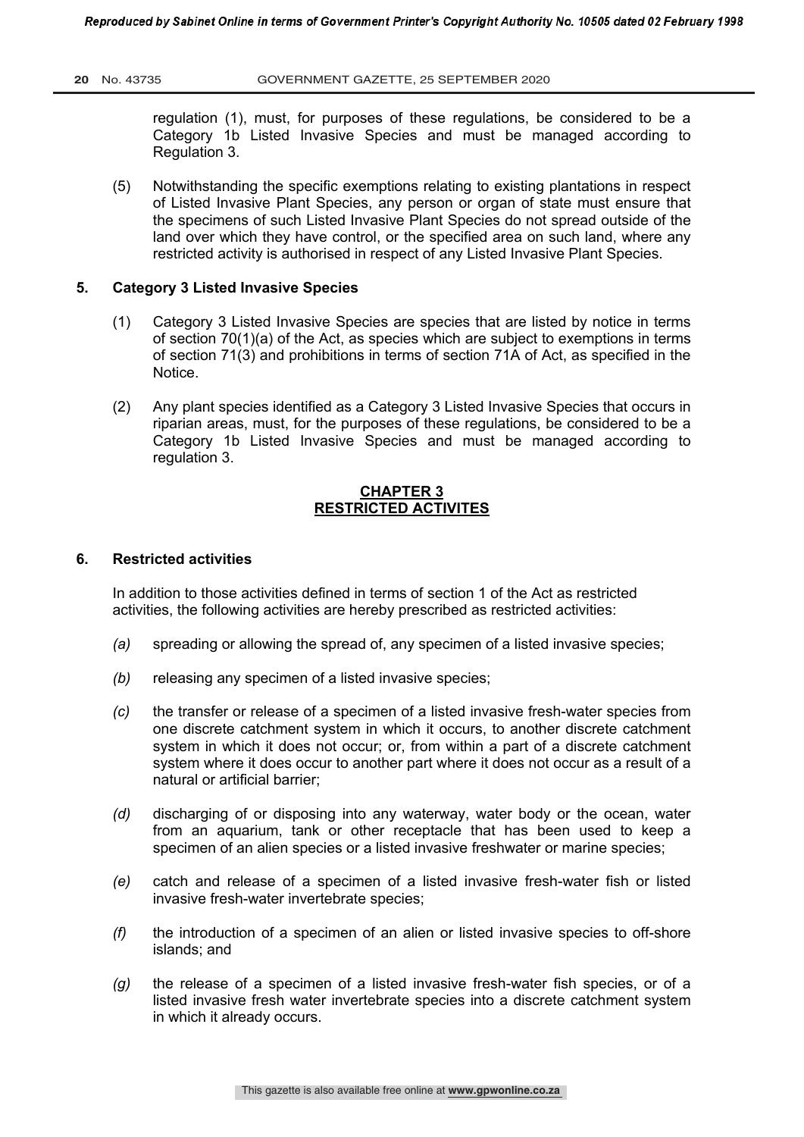regulation (1), must, for purposes of these regulations, be considered to be a Category 1b Listed Invasive Species and must be managed according to Regulation 3.

(5) Notwithstanding the specific exemptions relating to existing plantations in respect of Listed Invasive Plant Species, any person or organ of state must ensure that the specimens of such Listed Invasive Plant Species do not spread outside of the land over which they have control, or the specified area on such land, where any restricted activity is authorised in respect of any Listed Invasive Plant Species.

#### **5. Category 3 Listed Invasive Species**

- (1) Category 3 Listed Invasive Species are species that are listed by notice in terms of section 70(1)(a) of the Act, as species which are subject to exemptions in terms of section 71(3) and prohibitions in terms of section 71A of Act, as specified in the Notice.
- (2) Any plant species identified as a Category 3 Listed Invasive Species that occurs in riparian areas, must, for the purposes of these regulations, be considered to be a Category 1b Listed Invasive Species and must be managed according to regulation 3.

## **CHAPTER 3 RESTRICTED ACTIVITES**

#### **6. Restricted activities**

In addition to those activities defined in terms of section 1 of the Act as restricted activities, the following activities are hereby prescribed as restricted activities:

- *(a)* spreading or allowing the spread of, any specimen of a listed invasive species;
- *(b)* releasing any specimen of a listed invasive species;
- *(c)* the transfer or release of a specimen of a listed invasive fresh-water species from one discrete catchment system in which it occurs, to another discrete catchment system in which it does not occur; or, from within a part of a discrete catchment system where it does occur to another part where it does not occur as a result of a natural or artificial barrier;
- *(d)* discharging of or disposing into any waterway, water body or the ocean, water from an aquarium, tank or other receptacle that has been used to keep a specimen of an alien species or a listed invasive freshwater or marine species;
- *(e)* catch and release of a specimen of a listed invasive fresh-water fish or listed invasive fresh-water invertebrate species;
- *(f)* the introduction of a specimen of an alien or listed invasive species to off-shore islands; and
- *(g)* the release of a specimen of a listed invasive fresh-water fish species, or of a listed invasive fresh water invertebrate species into a discrete catchment system in which it already occurs.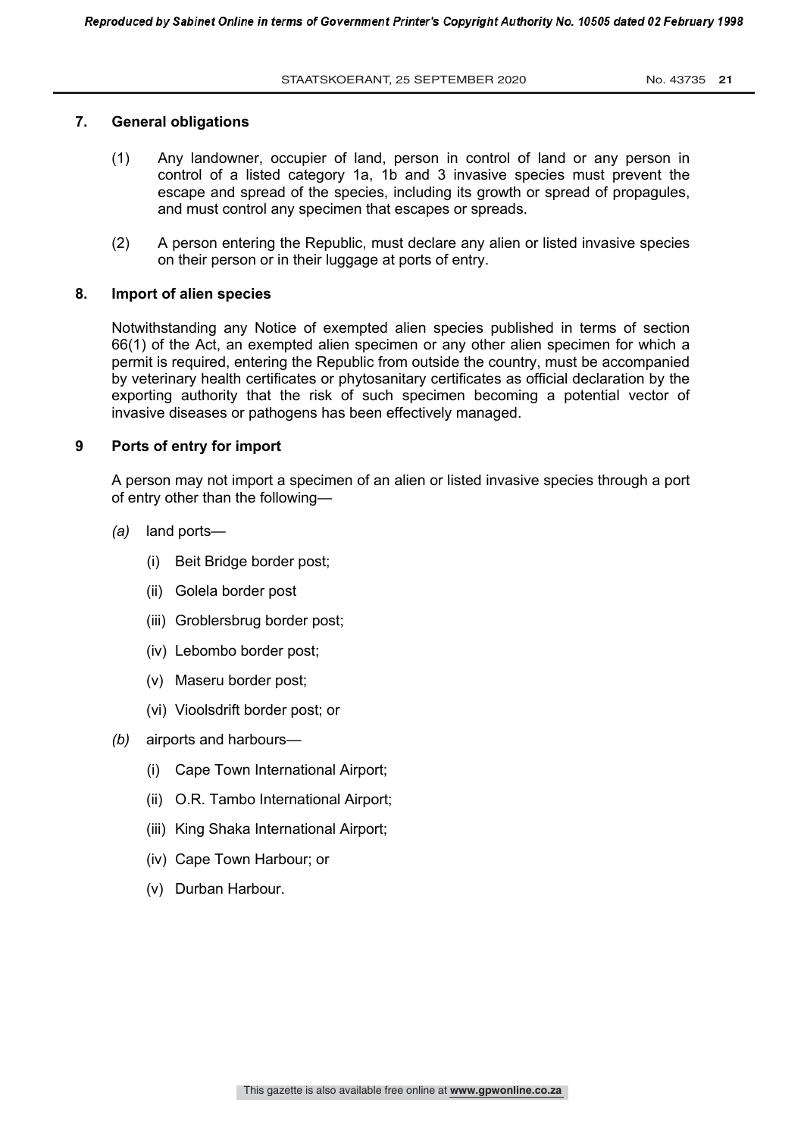#### **7. General obligations**

- (1) Any landowner, occupier of land, person in control of land or any person in control of a listed category 1a, 1b and 3 invasive species must prevent the escape and spread of the species, including its growth or spread of propagules, and must control any specimen that escapes or spreads.
- (2) A person entering the Republic, must declare any alien or listed invasive species on their person or in their luggage at ports of entry.

# **8. Import of alien species**

Notwithstanding any Notice of exempted alien species published in terms of section 66(1) of the Act, an exempted alien specimen or any other alien specimen for which a permit is required, entering the Republic from outside the country, must be accompanied by veterinary health certificates or phytosanitary certificates as official declaration by the exporting authority that the risk of such specimen becoming a potential vector of invasive diseases or pathogens has been effectively managed.

#### **9 Ports of entry for import**

A person may not import a specimen of an alien or listed invasive species through a port of entry other than the following—

- *(a)* land ports—
	- (i) Beit Bridge border post;
	- (ii) Golela border post
	- (iii) Groblersbrug border post;
	- (iv) Lebombo border post;
	- (v) Maseru border post;
	- (vi) Vioolsdrift border post; or
- *(b)* airports and harbours—
	- (i) Cape Town International Airport;
	- (ii) O.R. Tambo International Airport;
	- (iii) King Shaka International Airport;
	- (iv) Cape Town Harbour; or
	- (v) Durban Harbour.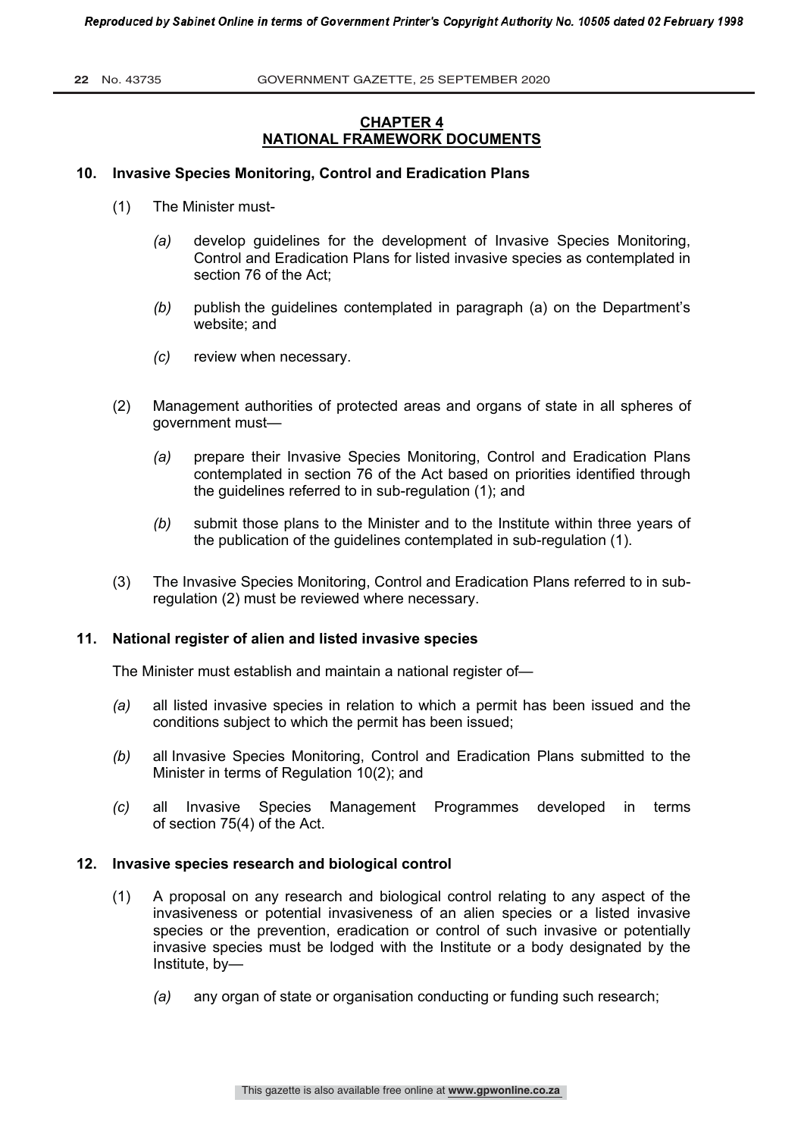**22** No. 43735 GOVERNMENT GAZETTE, 25 SEPTEMBER 2020

# **CHAPTER 4 NATIONAL FRAMEWORK DOCUMENTS**

#### **10. Invasive Species Monitoring, Control and Eradication Plans**

- (1) The Minister must-
	- *(a)* develop guidelines for the development of Invasive Species Monitoring, Control and Eradication Plans for listed invasive species as contemplated in section 76 of the Act;
	- *(b)* publish the guidelines contemplated in paragraph (a) on the Department's website; and
	- *(c)* review when necessary.
- (2) Management authorities of protected areas and organs of state in all spheres of government must—
	- *(a)* prepare their Invasive Species Monitoring, Control and Eradication Plans contemplated in section 76 of the Act based on priorities identified through the guidelines referred to in sub-regulation (1); and
	- *(b)* submit those plans to the Minister and to the Institute within three years of the publication of the guidelines contemplated in sub-regulation (1).
- (3) The Invasive Species Monitoring, Control and Eradication Plans referred to in subregulation (2) must be reviewed where necessary.

#### **11. National register of alien and listed invasive species**

The Minister must establish and maintain a national register of—

- *(a)* all listed invasive species in relation to which a permit has been issued and the conditions subject to which the permit has been issued;
- *(b)* all Invasive Species Monitoring, Control and Eradication Plans submitted to the Minister in terms of Regulation 10(2); and
- *(c)* all Invasive Species Management Programmes developed in terms of section 75(4) of the Act.

#### **12. Invasive species research and biological control**

- (1) A proposal on any research and biological control relating to any aspect of the invasiveness or potential invasiveness of an alien species or a listed invasive species or the prevention, eradication or control of such invasive or potentially invasive species must be lodged with the Institute or a body designated by the Institute, by—
	- *(a)* any organ of state or organisation conducting or funding such research;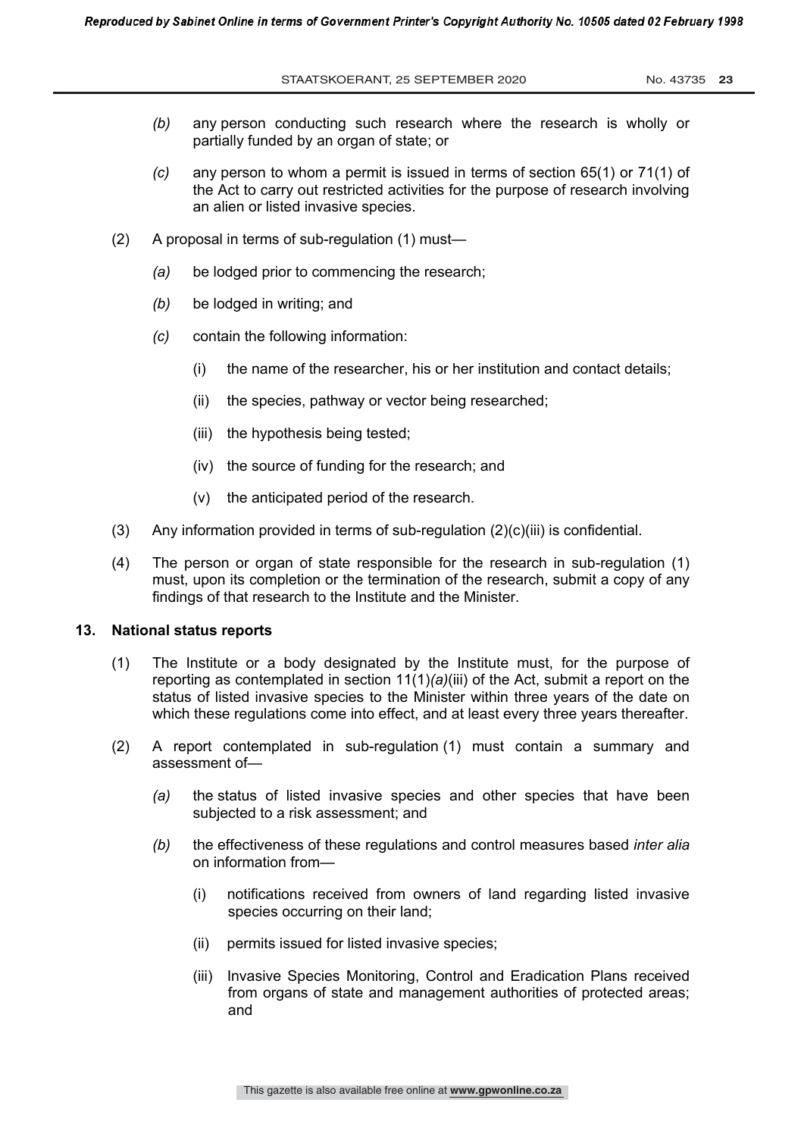STAATSKOERANT, 25 SEPTEMBER 2020 No. 43735 23

- *(b)* any person conducting such research where the research is wholly or partially funded by an organ of state; or
- *(c)* any person to whom a permit is issued in terms of section 65(1) or 71(1) of the Act to carry out restricted activities for the purpose of research involving an alien or listed invasive species.
- (2) A proposal in terms of sub-regulation (1) must—
	- *(a)* be lodged prior to commencing the research;
	- *(b)* be lodged in writing; and
	- *(c)* contain the following information:
		- (i) the name of the researcher, his or her institution and contact details;
		- (ii) the species, pathway or vector being researched;
		- (iii) the hypothesis being tested;
		- (iv) the source of funding for the research; and
		- (v) the anticipated period of the research.
- (3) Any information provided in terms of sub-regulation  $(2)(c)(iii)$  is confidential.
- (4) The person or organ of state responsible for the research in sub-regulation (1) must, upon its completion or the termination of the research, submit a copy of any findings of that research to the Institute and the Minister.

#### **13. National status reports**

- (1) The Institute or a body designated by the Institute must, for the purpose of reporting as contemplated in section 11(1)*(a)*(iii) of the Act, submit a report on the status of listed invasive species to the Minister within three years of the date on which these regulations come into effect, and at least every three years thereafter.
- (2) A report contemplated in sub-regulation (1) must contain a summary and assessment of—
	- *(a)* the status of listed invasive species and other species that have been subjected to a risk assessment; and
	- *(b)* the effectiveness of these regulations and control measures based *inter alia* on information from—
		- (i) notifications received from owners of land regarding listed invasive species occurring on their land;
		- (ii) permits issued for listed invasive species;
		- (iii) Invasive Species Monitoring, Control and Eradication Plans received from organs of state and management authorities of protected areas; and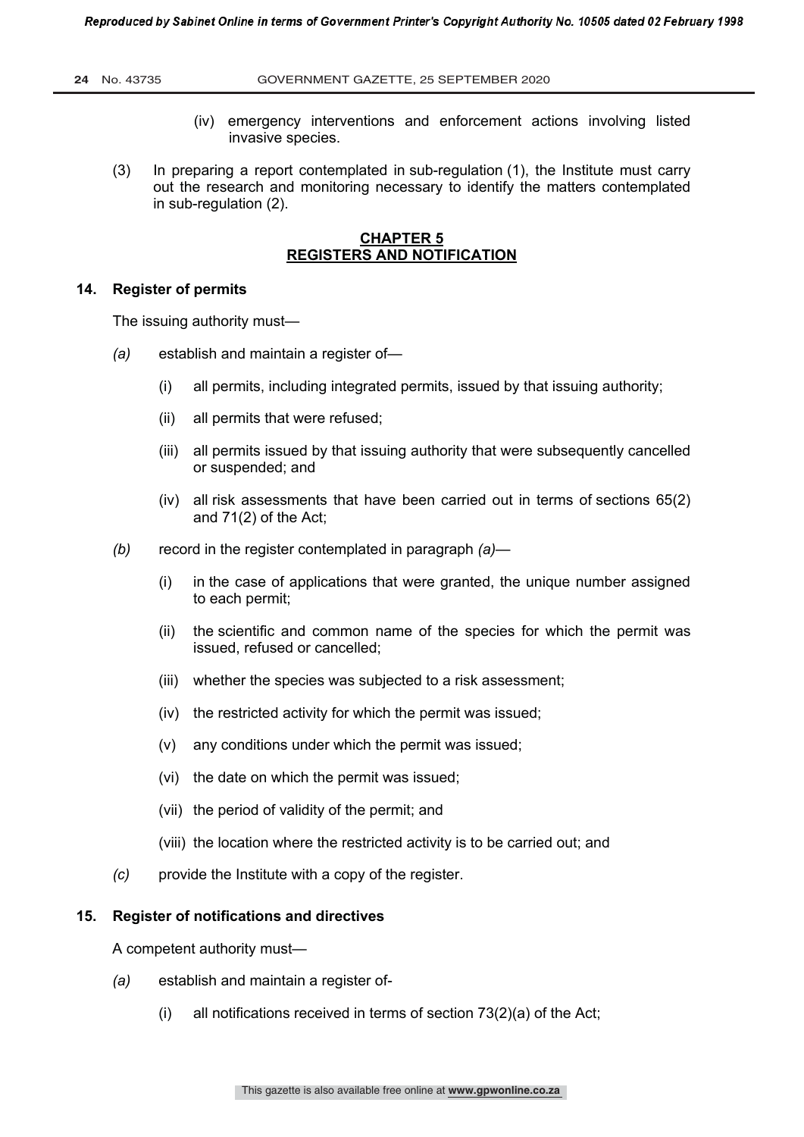- (iv) emergency interventions and enforcement actions involving listed invasive species.
- (3) In preparing a report contemplated in sub-regulation (1), the Institute must carry out the research and monitoring necessary to identify the matters contemplated in sub-regulation (2).

# **CHAPTER 5 REGISTERS AND NOTIFICATION**

#### **14. Register of permits**

The issuing authority must—

- *(a)* establish and maintain a register of—
	- (i) all permits, including integrated permits, issued by that issuing authority;
	- (ii) all permits that were refused;
	- (iii) all permits issued by that issuing authority that were subsequently cancelled or suspended; and
	- (iv) all risk assessments that have been carried out in terms of sections 65(2) and 71(2) of the Act;
- *(b)* record in the register contemplated in paragraph *(a)*
	- (i) in the case of applications that were granted, the unique number assigned to each permit;
	- (ii) the scientific and common name of the species for which the permit was issued, refused or cancelled;
	- (iii) whether the species was subjected to a risk assessment;
	- (iv) the restricted activity for which the permit was issued;
	- (v) any conditions under which the permit was issued;
	- (vi) the date on which the permit was issued;
	- (vii) the period of validity of the permit; and
	- (viii) the location where the restricted activity is to be carried out; and
- *(c)* provide the Institute with a copy of the register.

#### **15. Register of notifications and directives**

A competent authority must—

- *(a)* establish and maintain a register of-
	- (i) all notifications received in terms of section 73(2)(a) of the Act;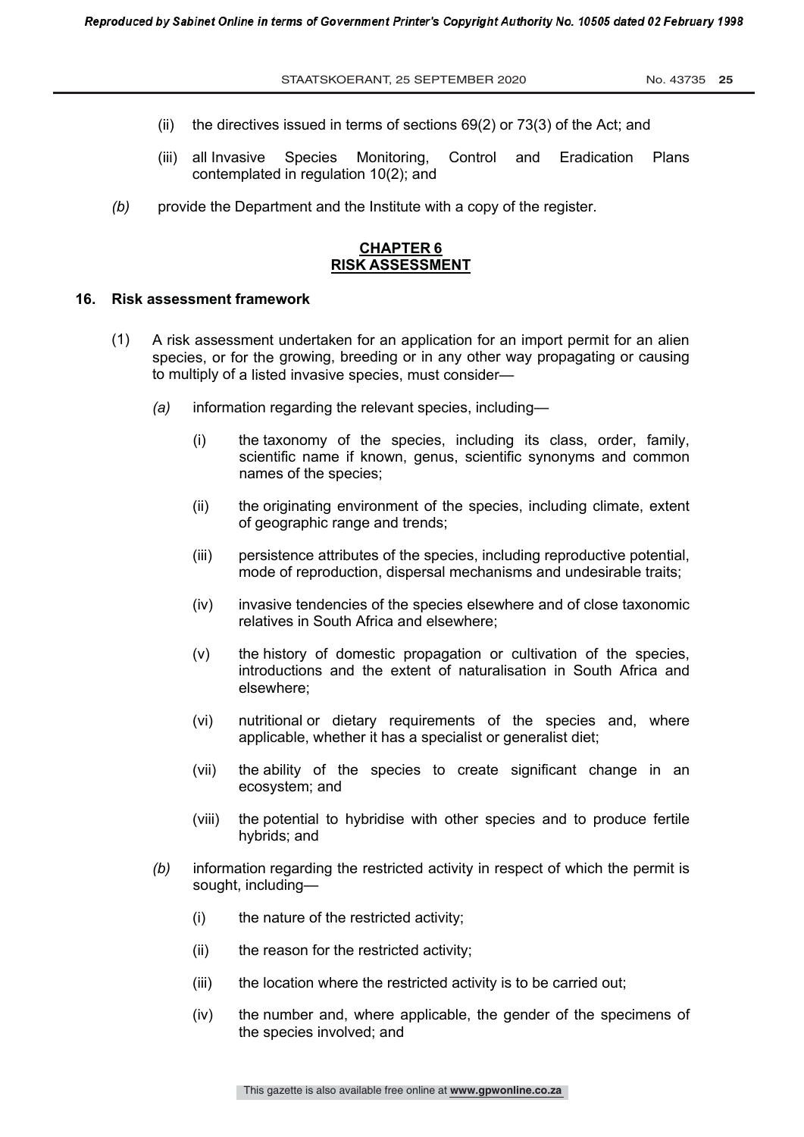- (ii) the directives issued in terms of sections 69(2) or 73(3) of the Act; and
- (iii) all Invasive Species Monitoring, Control and Eradication Plans contemplated in regulation 10(2); and
- *(b)* provide the Department and the Institute with a copy of the register.

## **CHAPTER 6 RISK ASSESSMENT**

#### **16. Risk assessment framework**

- (1) A risk assessment undertaken for an application for an import permit for an alien species, or for the growing, breeding or in any other way propagating or causing to multiply of a listed invasive species, must consider—
	- *(a)* information regarding the relevant species, including—
		- (i) the taxonomy of the species, including its class, order, family, scientific name if known, genus, scientific synonyms and common names of the species;
		- (ii) the originating environment of the species, including climate, extent of geographic range and trends;
		- (iii) persistence attributes of the species, including reproductive potential, mode of reproduction, dispersal mechanisms and undesirable traits;
		- (iv) invasive tendencies of the species elsewhere and of close taxonomic relatives in South Africa and elsewhere;
		- (v) the history of domestic propagation or cultivation of the species, introductions and the extent of naturalisation in South Africa and elsewhere;
		- (vi) nutritional or dietary requirements of the species and, where applicable, whether it has a specialist or generalist diet;
		- (vii) the ability of the species to create significant change in an ecosystem; and
		- (viii) the potential to hybridise with other species and to produce fertile hybrids; and
	- *(b)* information regarding the restricted activity in respect of which the permit is sought, including—
		- (i) the nature of the restricted activity;
		- (ii) the reason for the restricted activity;
		- (iii) the location where the restricted activity is to be carried out;
		- (iv) the number and, where applicable, the gender of the specimens of the species involved; and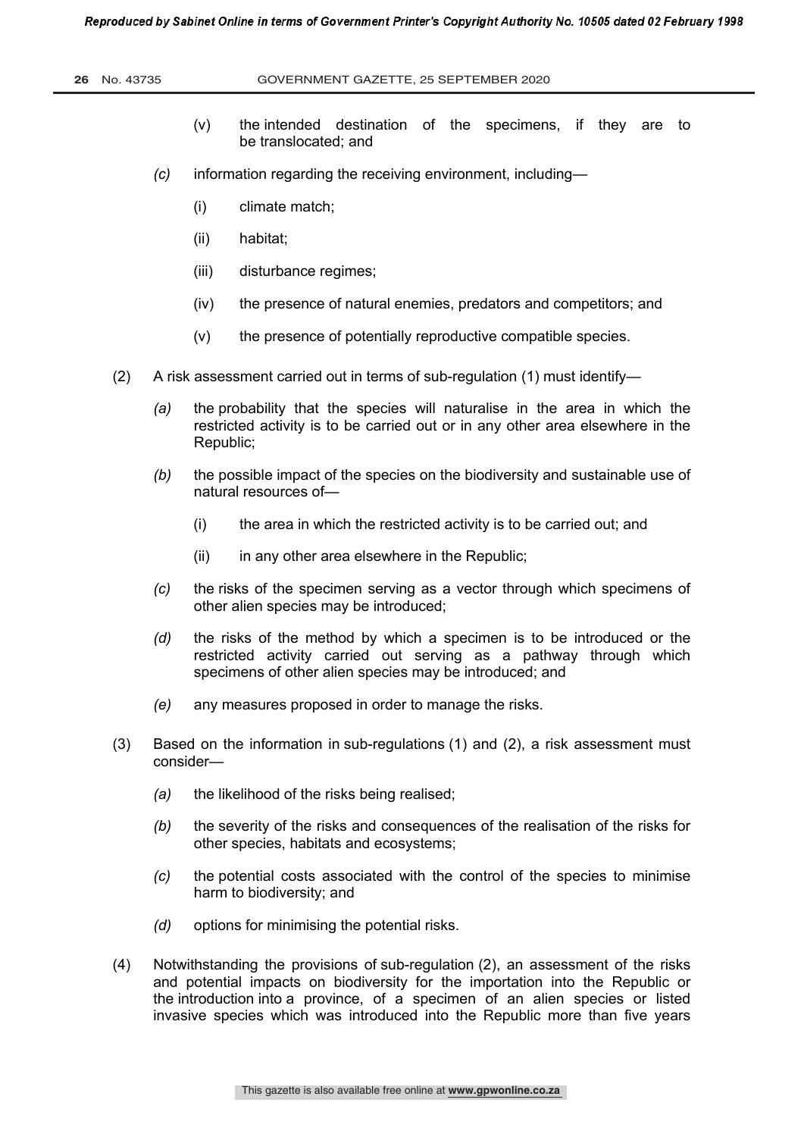- (v) the intended destination of the specimens, if they are to be translocated; and
- *(c)* information regarding the receiving environment, including—
	- (i) climate match;
	- (ii) habitat;
	- (iii) disturbance regimes;
	- (iv) the presence of natural enemies, predators and competitors; and
	- (v) the presence of potentially reproductive compatible species.
- (2) A risk assessment carried out in terms of sub-regulation (1) must identify—
	- *(a)* the probability that the species will naturalise in the area in which the restricted activity is to be carried out or in any other area elsewhere in the Republic;
	- *(b)* the possible impact of the species on the biodiversity and sustainable use of natural resources of—
		- (i) the area in which the restricted activity is to be carried out; and
		- (ii) in any other area elsewhere in the Republic;
	- *(c)* the risks of the specimen serving as a vector through which specimens of other alien species may be introduced;
	- *(d)* the risks of the method by which a specimen is to be introduced or the restricted activity carried out serving as a pathway through which specimens of other alien species may be introduced; and
	- *(e)* any measures proposed in order to manage the risks.
- (3) Based on the information in sub-regulations (1) and (2), a risk assessment must consider—
	- *(a)* the likelihood of the risks being realised;
	- *(b)* the severity of the risks and consequences of the realisation of the risks for other species, habitats and ecosystems;
	- *(c)* the potential costs associated with the control of the species to minimise harm to biodiversity; and
	- *(d)* options for minimising the potential risks.
- (4) Notwithstanding the provisions of sub-regulation (2), an assessment of the risks and potential impacts on biodiversity for the importation into the Republic or the introduction into a province, of a specimen of an alien species or listed invasive species which was introduced into the Republic more than five years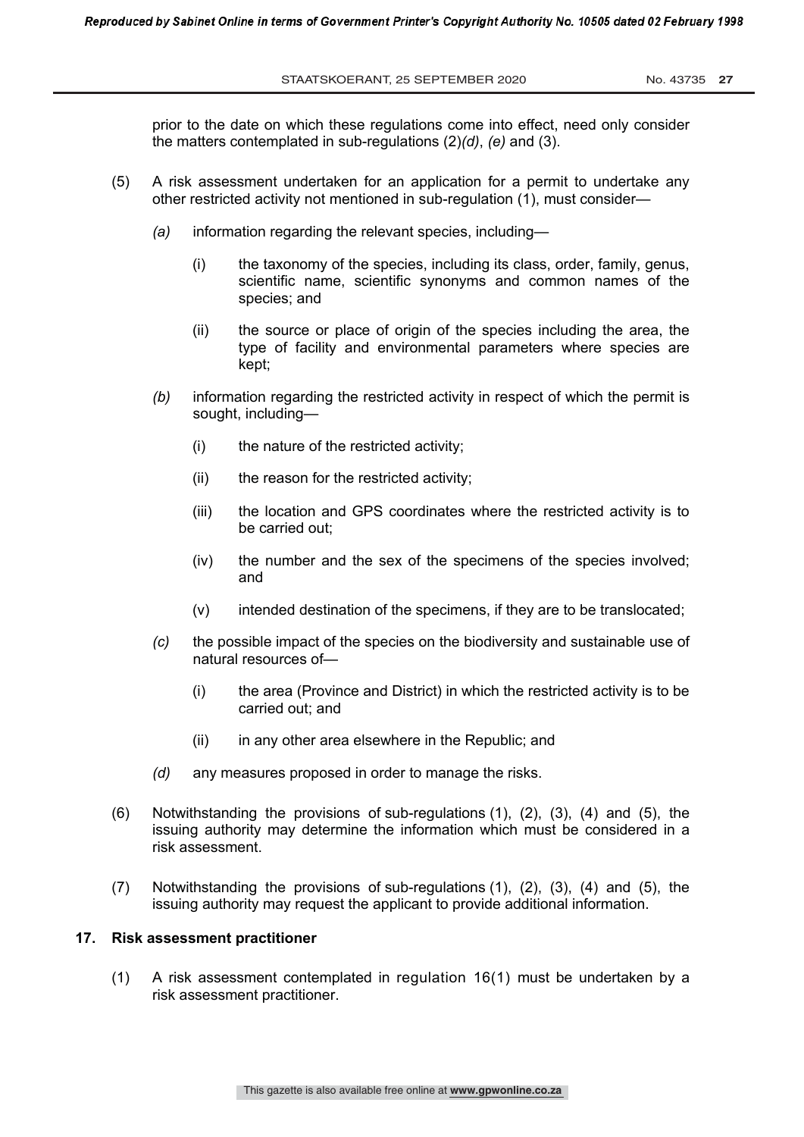prior to the date on which these regulations come into effect, need only consider the matters contemplated in sub-regulations (2)*(d)*, *(e)* and (3).

- (5) A risk assessment undertaken for an application for a permit to undertake any other restricted activity not mentioned in sub-regulation (1), must consider—
	- *(a)* information regarding the relevant species, including—
		- (i) the taxonomy of the species, including its class, order, family, genus, scientific name, scientific synonyms and common names of the species; and
		- (ii) the source or place of origin of the species including the area, the type of facility and environmental parameters where species are kept;
	- *(b)* information regarding the restricted activity in respect of which the permit is sought, including—
		- (i) the nature of the restricted activity;
		- (ii) the reason for the restricted activity;
		- (iii) the location and GPS coordinates where the restricted activity is to be carried out;
		- (iv) the number and the sex of the specimens of the species involved; and
		- (v) intended destination of the specimens, if they are to be translocated;
	- *(c)* the possible impact of the species on the biodiversity and sustainable use of natural resources of—
		- (i) the area (Province and District) in which the restricted activity is to be carried out; and
		- (ii) in any other area elsewhere in the Republic; and
	- *(d)* any measures proposed in order to manage the risks.
- (6) Notwithstanding the provisions of sub-regulations (1), (2), (3), (4) and (5), the issuing authority may determine the information which must be considered in a risk assessment.
- (7) Notwithstanding the provisions of sub-regulations (1), (2), (3), (4) and (5), the issuing authority may request the applicant to provide additional information.

#### **17. Risk assessment practitioner**

(1) A risk assessment contemplated in regulation 16(1) must be undertaken by a risk assessment practitioner.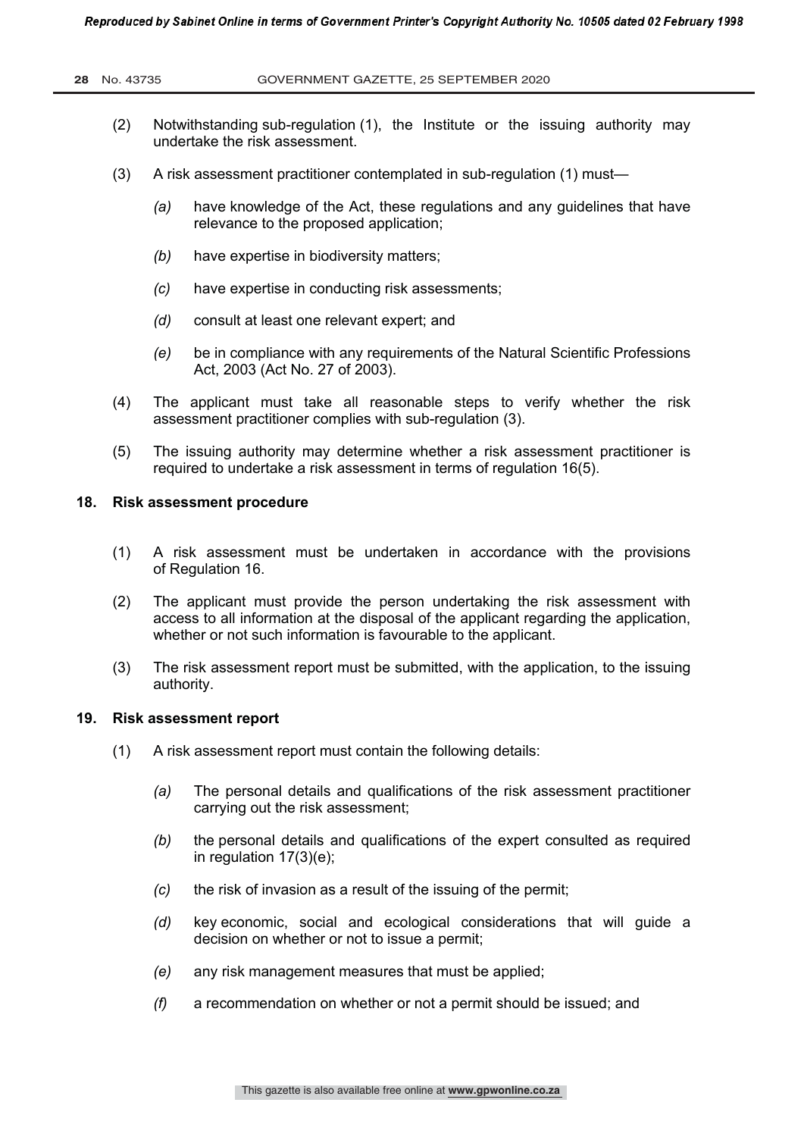- (2) Notwithstanding sub-regulation (1), the Institute or the issuing authority may undertake the risk assessment.
- (3) A risk assessment practitioner contemplated in sub-regulation (1) must—
	- *(a)* have knowledge of the Act, these regulations and any guidelines that have relevance to the proposed application;
	- *(b)* have expertise in biodiversity matters;
	- *(c)* have expertise in conducting risk assessments;
	- *(d)* consult at least one relevant expert; and
	- *(e)* be in compliance with any requirements of the Natural Scientific Professions Act, 2003 (Act No. 27 of 2003).
- (4) The applicant must take all reasonable steps to verify whether the risk assessment practitioner complies with sub-regulation (3).
- (5) The issuing authority may determine whether a risk assessment practitioner is required to undertake a risk assessment in terms of regulation 16(5).

#### **18. Risk assessment procedure**

- (1) A risk assessment must be undertaken in accordance with the provisions of Regulation 16.
- (2) The applicant must provide the person undertaking the risk assessment with access to all information at the disposal of the applicant regarding the application, whether or not such information is favourable to the applicant.
- (3) The risk assessment report must be submitted, with the application, to the issuing authority.

#### **19. Risk assessment report**

- (1) A risk assessment report must contain the following details:
	- *(a)* The personal details and qualifications of the risk assessment practitioner carrying out the risk assessment;
	- *(b)* the personal details and qualifications of the expert consulted as required in regulation 17(3)(e);
	- *(c)* the risk of invasion as a result of the issuing of the permit;
	- *(d)* key economic, social and ecological considerations that will guide a decision on whether or not to issue a permit;
	- *(e)* any risk management measures that must be applied;
	- *(f)* a recommendation on whether or not a permit should be issued; and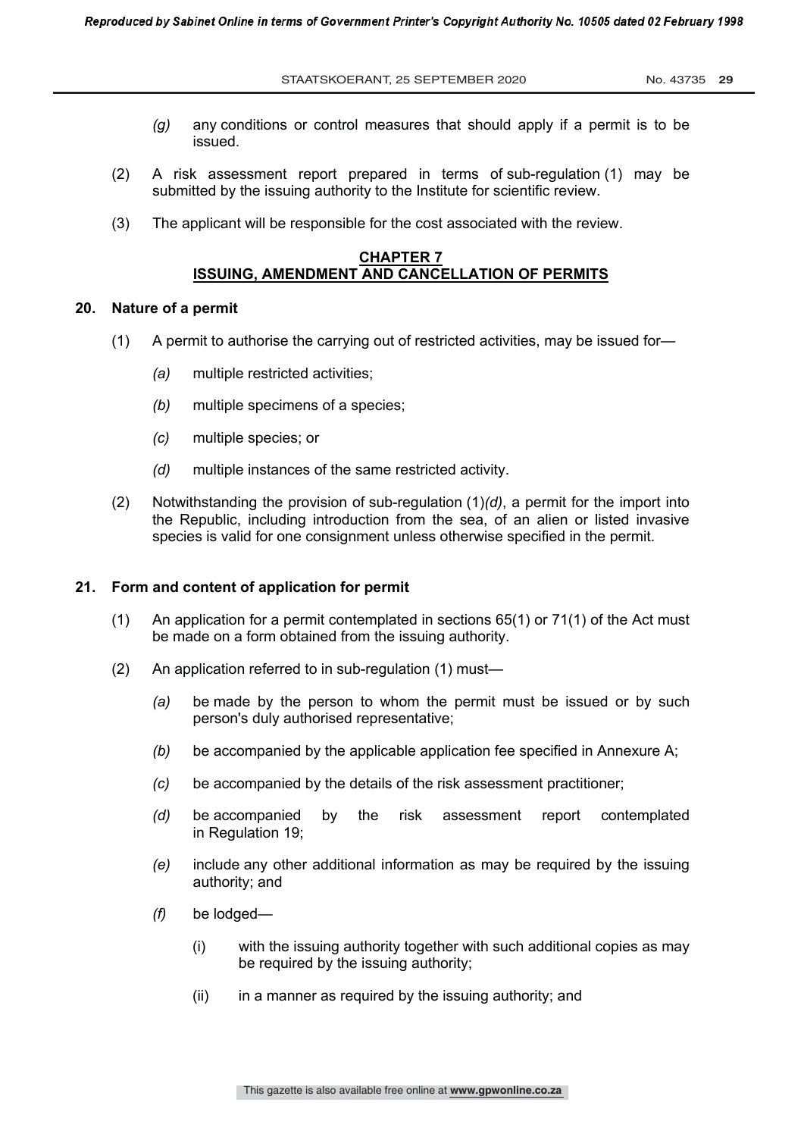- *(g)* any conditions or control measures that should apply if a permit is to be issued.
- (2) A risk assessment report prepared in terms of sub-regulation (1) may be submitted by the issuing authority to the Institute for scientific review.
- (3) The applicant will be responsible for the cost associated with the review.

#### **CHAPTER 7 ISSUING, AMENDMENT AND CANCELLATION OF PERMITS**

#### **20. Nature of a permit**

- (1) A permit to authorise the carrying out of restricted activities, may be issued for—
	- *(a)* multiple restricted activities;
	- *(b)* multiple specimens of a species;
	- *(c)* multiple species; or
	- *(d)* multiple instances of the same restricted activity.
- (2) Notwithstanding the provision of sub-regulation (1)*(d)*, a permit for the import into the Republic, including introduction from the sea, of an alien or listed invasive species is valid for one consignment unless otherwise specified in the permit.

#### **21. Form and content of application for permit**

- (1) An application for a permit contemplated in sections 65(1) or 71(1) of the Act must be made on a form obtained from the issuing authority.
- (2) An application referred to in sub-regulation (1) must—
	- *(a)* be made by the person to whom the permit must be issued or by such person's duly authorised representative;
	- *(b)* be accompanied by the applicable application fee specified in Annexure A;
	- *(c)* be accompanied by the details of the risk assessment practitioner;
	- *(d)* be accompanied by the risk assessment report contemplated in Regulation 19;
	- *(e)* include any other additional information as may be required by the issuing authority; and
	- *(f)* be lodged—
		- (i) with the issuing authority together with such additional copies as may be required by the issuing authority;
		- (ii) in a manner as required by the issuing authority; and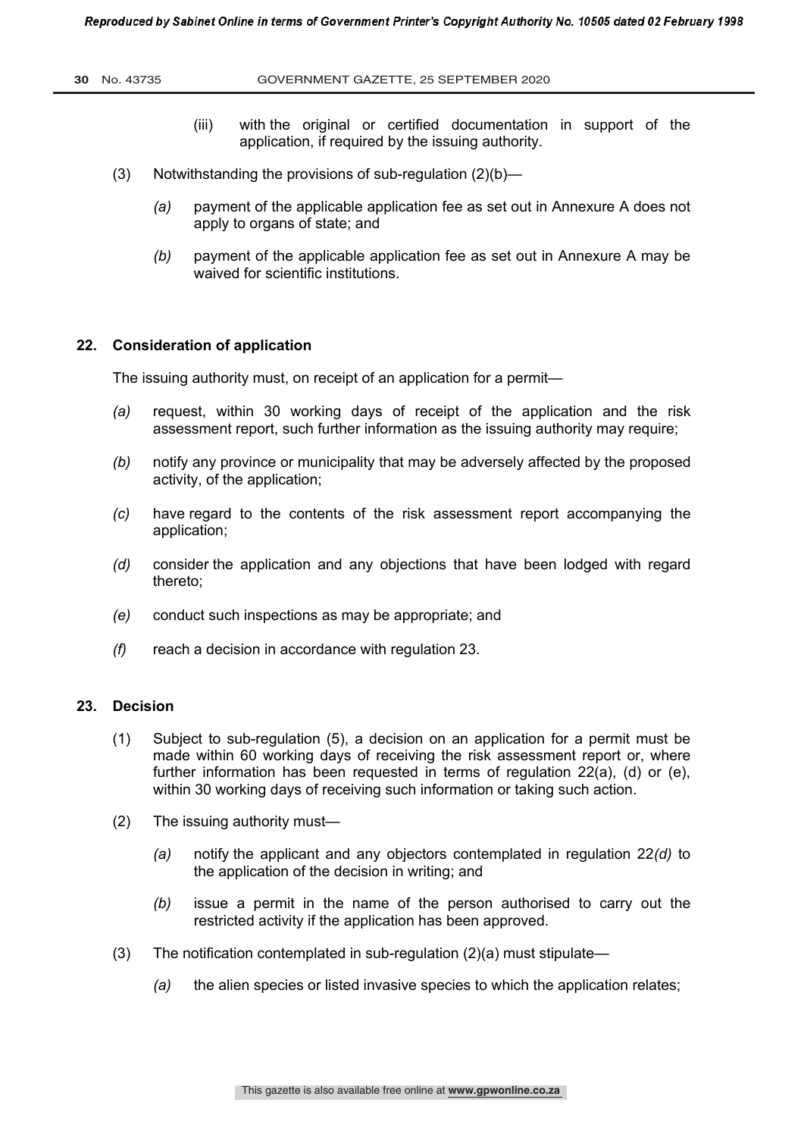- (iii) with the original or certified documentation in support of the application, if required by the issuing authority.
- (3) Notwithstanding the provisions of sub-regulation (2)(b)—
	- *(a)* payment of the applicable application fee as set out in Annexure A does not apply to organs of state; and
	- *(b)* payment of the applicable application fee as set out in Annexure A may be waived for scientific institutions.

#### **22. Consideration of application**

The issuing authority must, on receipt of an application for a permit—

- *(a)* request, within 30 working days of receipt of the application and the risk assessment report, such further information as the issuing authority may require;
- *(b)* notify any province or municipality that may be adversely affected by the proposed activity, of the application;
- *(c)* have regard to the contents of the risk assessment report accompanying the application;
- *(d)* consider the application and any objections that have been lodged with regard thereto;
- *(e)* conduct such inspections as may be appropriate; and
- *(f)* reach a decision in accordance with regulation 23.

# **23. Decision**

- (1) Subject to sub-regulation (5), a decision on an application for a permit must be made within 60 working days of receiving the risk assessment report or, where further information has been requested in terms of regulation 22(a), (d) or (e), within 30 working days of receiving such information or taking such action.
- (2) The issuing authority must—
	- *(a)* notify the applicant and any objectors contemplated in regulation 22*(d)* to the application of the decision in writing; and
	- *(b)* issue a permit in the name of the person authorised to carry out the restricted activity if the application has been approved.
- (3) The notification contemplated in sub-regulation (2)(a) must stipulate—
	- *(a)* the alien species or listed invasive species to which the application relates;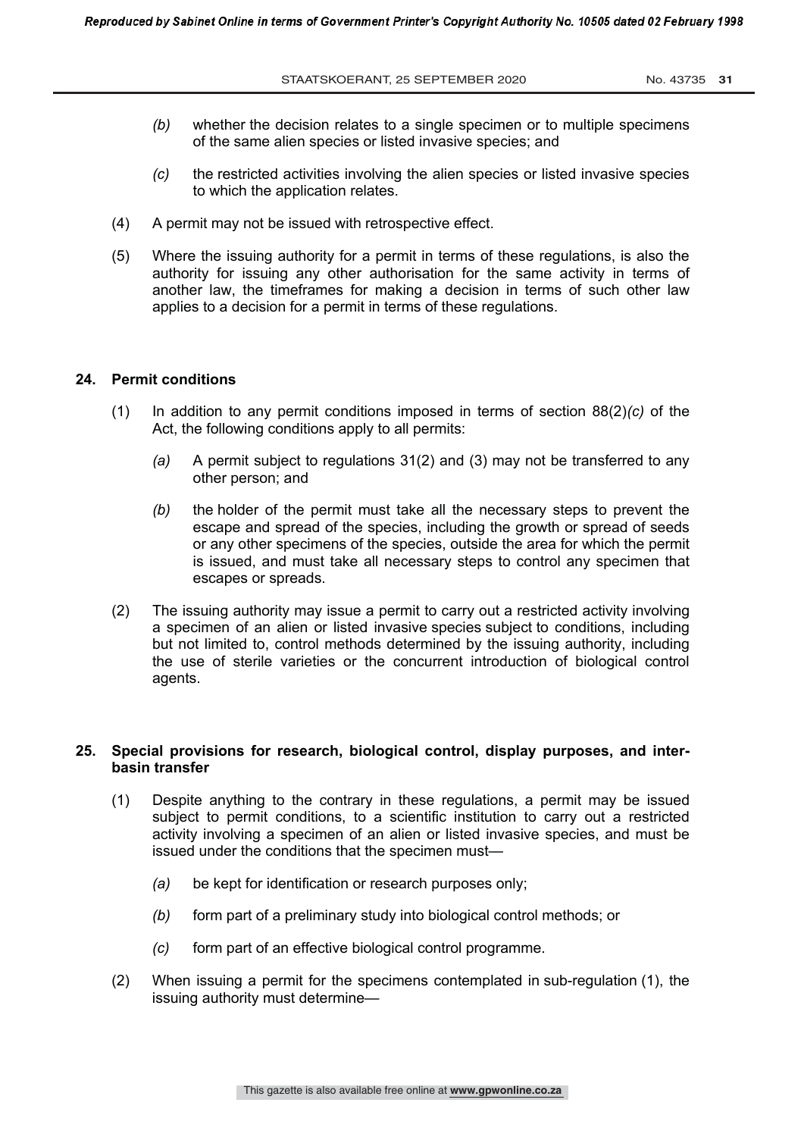- *(b)* whether the decision relates to a single specimen or to multiple specimens of the same alien species or listed invasive species; and
- *(c)* the restricted activities involving the alien species or listed invasive species to which the application relates.
- (4) A permit may not be issued with retrospective effect.
- (5) Where the issuing authority for a permit in terms of these regulations, is also the authority for issuing any other authorisation for the same activity in terms of another law, the timeframes for making a decision in terms of such other law applies to a decision for a permit in terms of these regulations.

#### **24. Permit conditions**

- (1) In addition to any permit conditions imposed in terms of section 88(2)*(c)* of the Act, the following conditions apply to all permits:
	- *(a)* A permit subject to regulations 31(2) and (3) may not be transferred to any other person; and
	- *(b)* the holder of the permit must take all the necessary steps to prevent the escape and spread of the species, including the growth or spread of seeds or any other specimens of the species, outside the area for which the permit is issued, and must take all necessary steps to control any specimen that escapes or spreads.
- (2) The issuing authority may issue a permit to carry out a restricted activity involving a specimen of an alien or listed invasive species subject to conditions, including but not limited to, control methods determined by the issuing authority, including the use of sterile varieties or the concurrent introduction of biological control agents.

### **25. Special provisions for research, biological control, display purposes, and interbasin transfer**

- (1) Despite anything to the contrary in these regulations, a permit may be issued subject to permit conditions, to a scientific institution to carry out a restricted activity involving a specimen of an alien or listed invasive species, and must be issued under the conditions that the specimen must—
	- *(a)* be kept for identification or research purposes only;
	- *(b)* form part of a preliminary study into biological control methods; or
	- *(c)* form part of an effective biological control programme.
- (2) When issuing a permit for the specimens contemplated in sub-regulation (1), the issuing authority must determine—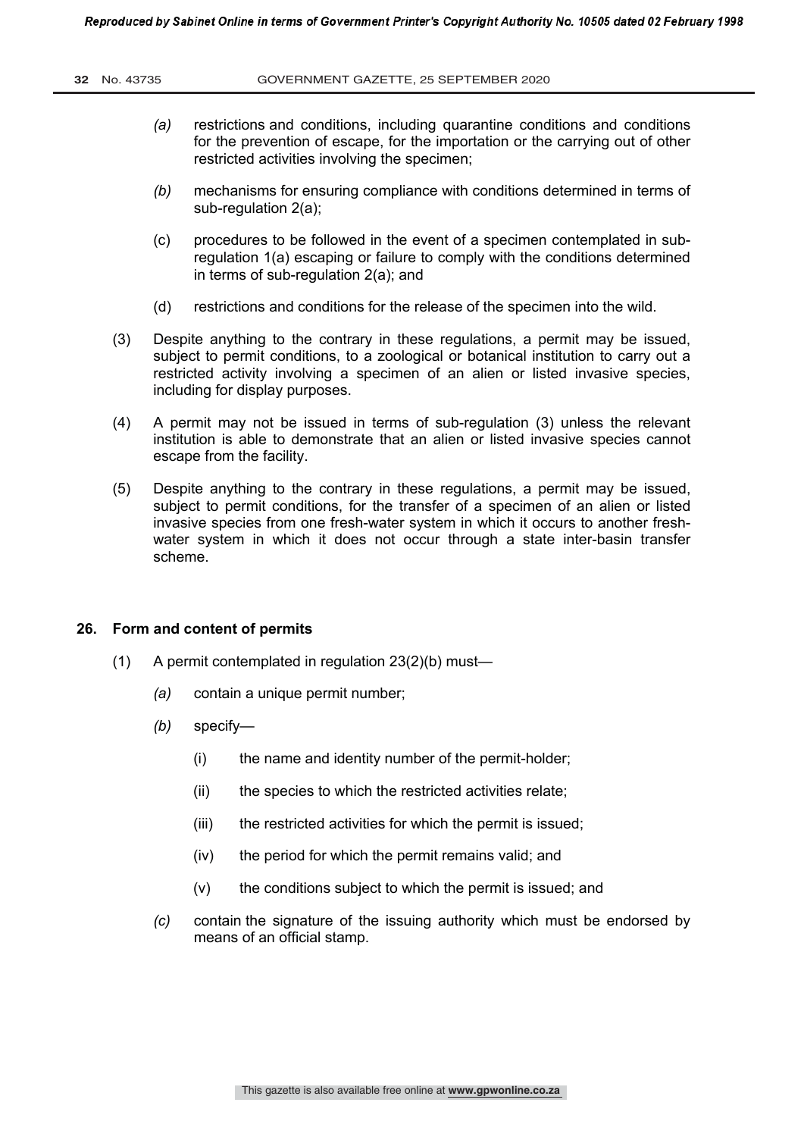- *(a)* restrictions and conditions, including quarantine conditions and conditions for the prevention of escape, for the importation or the carrying out of other restricted activities involving the specimen;
- *(b)* mechanisms for ensuring compliance with conditions determined in terms of sub-regulation 2(a);
- (c) procedures to be followed in the event of a specimen contemplated in subregulation 1(a) escaping or failure to comply with the conditions determined in terms of sub-regulation 2(a); and
- (d) restrictions and conditions for the release of the specimen into the wild.
- (3) Despite anything to the contrary in these regulations, a permit may be issued, subject to permit conditions, to a zoological or botanical institution to carry out a restricted activity involving a specimen of an alien or listed invasive species, including for display purposes.
- (4) A permit may not be issued in terms of sub-regulation (3) unless the relevant institution is able to demonstrate that an alien or listed invasive species cannot escape from the facility.
- (5) Despite anything to the contrary in these regulations, a permit may be issued, subject to permit conditions, for the transfer of a specimen of an alien or listed invasive species from one fresh-water system in which it occurs to another freshwater system in which it does not occur through a state inter-basin transfer scheme.

#### **26. Form and content of permits**

- (1) A permit contemplated in regulation 23(2)(b) must—
	- *(a)* contain a unique permit number;
	- *(b)* specify—
		- (i) the name and identity number of the permit-holder;
		- (ii) the species to which the restricted activities relate:
		- (iii) the restricted activities for which the permit is issued:
		- (iv) the period for which the permit remains valid; and
		- (v) the conditions subject to which the permit is issued; and
	- *(c)* contain the signature of the issuing authority which must be endorsed by means of an official stamp.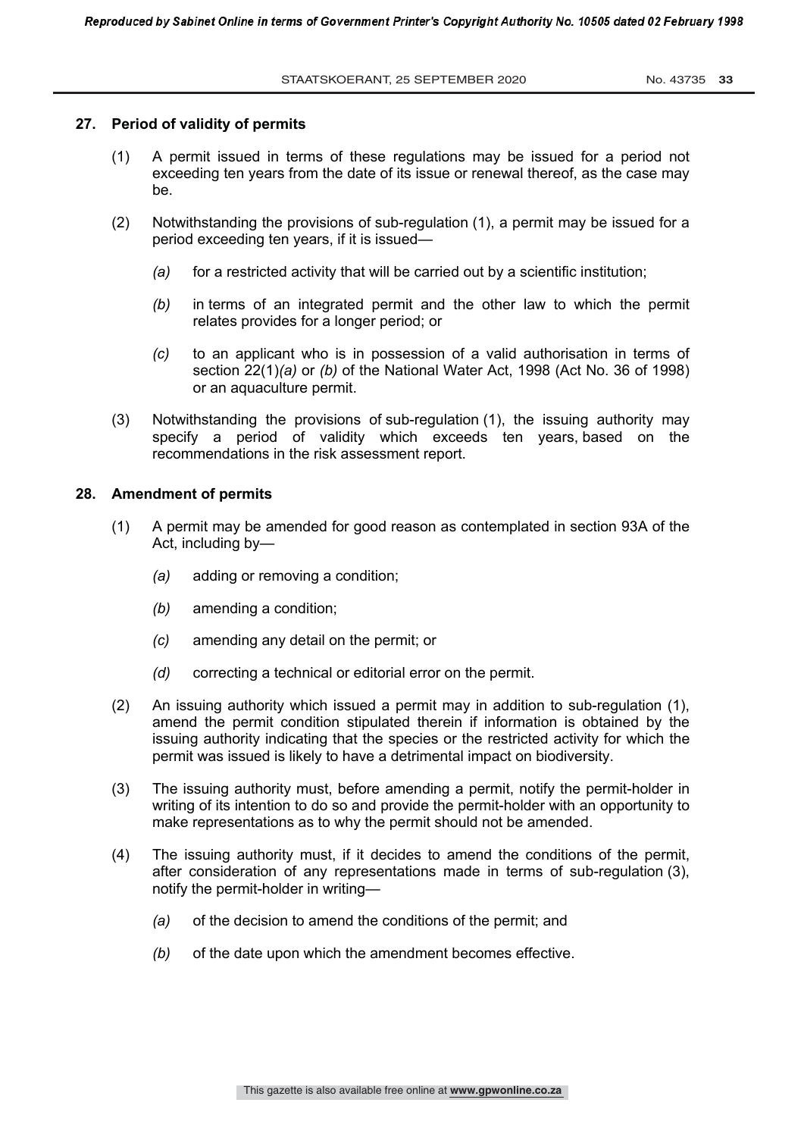#### **27. Period of validity of permits**

- (1) A permit issued in terms of these regulations may be issued for a period not exceeding ten years from the date of its issue or renewal thereof, as the case may be.
- (2) Notwithstanding the provisions of sub-regulation (1), a permit may be issued for a period exceeding ten years, if it is issued—
	- *(a)* for a restricted activity that will be carried out by a scientific institution;
	- *(b)* in terms of an integrated permit and the other law to which the permit relates provides for a longer period; or
	- *(c)* to an applicant who is in possession of a valid authorisation in terms of section 22(1)*(a)* or *(b)* of the National Water Act, 1998 (Act No. 36 of 1998) or an aquaculture permit.
- (3) Notwithstanding the provisions of sub-regulation (1), the issuing authority may specify a period of validity which exceeds ten years, based on the recommendations in the risk assessment report.

#### **28. Amendment of permits**

- (1) A permit may be amended for good reason as contemplated in section 93A of the Act, including by—
	- *(a)* adding or removing a condition;
	- *(b)* amending a condition;
	- *(c)* amending any detail on the permit; or
	- *(d)* correcting a technical or editorial error on the permit.
- (2) An issuing authority which issued a permit may in addition to sub-regulation (1), amend the permit condition stipulated therein if information is obtained by the issuing authority indicating that the species or the restricted activity for which the permit was issued is likely to have a detrimental impact on biodiversity.
- (3) The issuing authority must, before amending a permit, notify the permit-holder in writing of its intention to do so and provide the permit-holder with an opportunity to make representations as to why the permit should not be amended.
- (4) The issuing authority must, if it decides to amend the conditions of the permit, after consideration of any representations made in terms of sub-regulation (3), notify the permit-holder in writing—
	- *(a)* of the decision to amend the conditions of the permit; and
	- *(b)* of the date upon which the amendment becomes effective.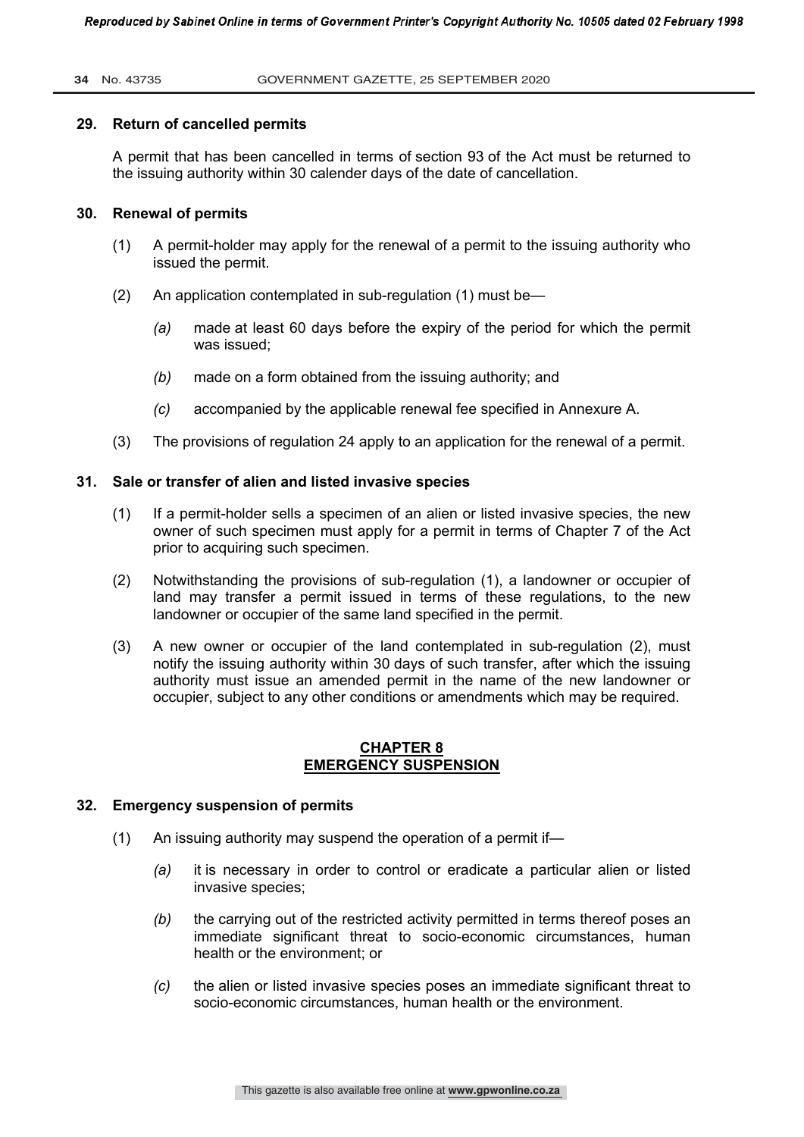#### **34** No. 43735 GOVERNMENT GAZETTE, 25 SEPTEMBER 2020

#### **29. Return of cancelled permits**

A permit that has been cancelled in terms of section 93 of the Act must be returned to the issuing authority within 30 calender days of the date of cancellation.

#### **30. Renewal of permits**

- (1) A permit-holder may apply for the renewal of a permit to the issuing authority who issued the permit.
- (2) An application contemplated in sub-regulation (1) must be—
	- *(a)* made at least 60 days before the expiry of the period for which the permit was issued;
	- *(b)* made on a form obtained from the issuing authority; and
	- *(c)* accompanied by the applicable renewal fee specified in Annexure A.
- (3) The provisions of regulation 24 apply to an application for the renewal of a permit.

#### **31. Sale or transfer of alien and listed invasive species**

- (1) If a permit-holder sells a specimen of an alien or listed invasive species, the new owner of such specimen must apply for a permit in terms of Chapter 7 of the Act prior to acquiring such specimen.
- (2) Notwithstanding the provisions of sub-regulation (1), a landowner or occupier of land may transfer a permit issued in terms of these regulations, to the new landowner or occupier of the same land specified in the permit.
- (3) A new owner or occupier of the land contemplated in sub-regulation (2), must notify the issuing authority within 30 days of such transfer, after which the issuing authority must issue an amended permit in the name of the new landowner or occupier, subject to any other conditions or amendments which may be required.

#### **CHAPTER 8 EMERGENCY SUSPENSION**

#### **32. Emergency suspension of permits**

- (1) An issuing authority may suspend the operation of a permit if—
	- *(a)* it is necessary in order to control or eradicate a particular alien or listed invasive species;
	- *(b)* the carrying out of the restricted activity permitted in terms thereof poses an immediate significant threat to socio-economic circumstances, human health or the environment; or
	- *(c)* the alien or listed invasive species poses an immediate significant threat to socio-economic circumstances, human health or the environment.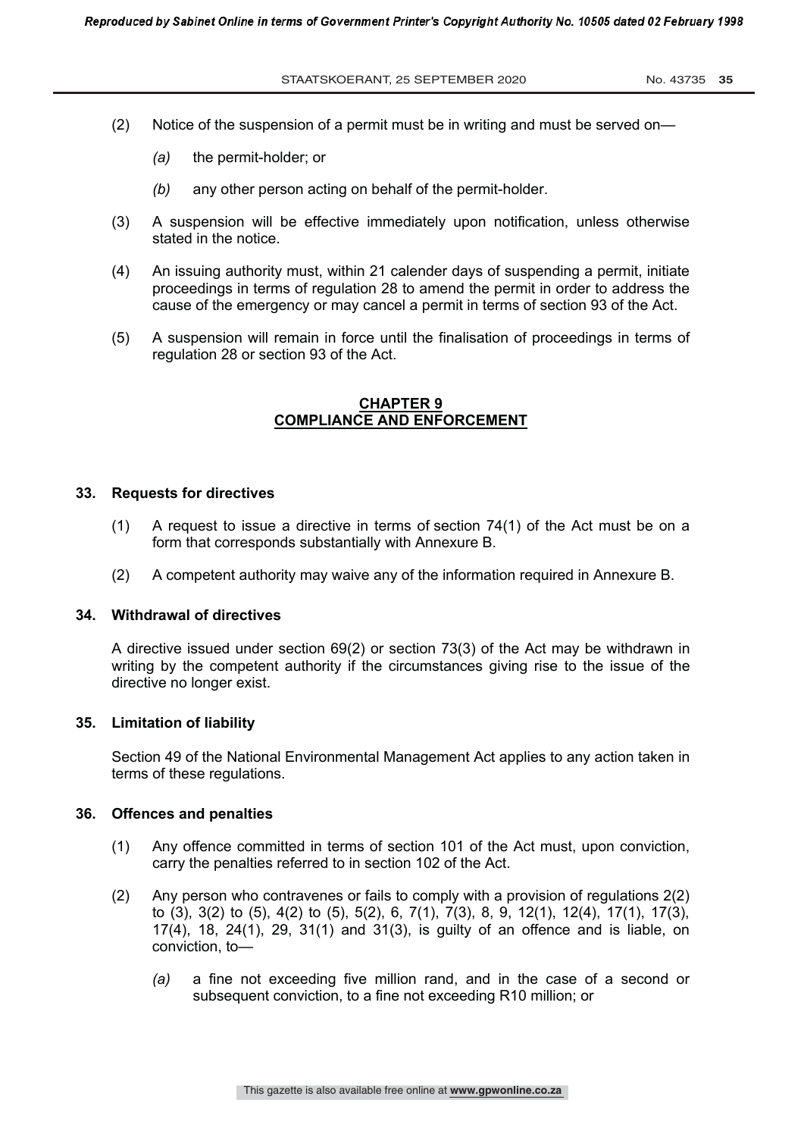- (2) Notice of the suspension of a permit must be in writing and must be served on—
	- *(a)* the permit-holder; or
	- *(b)* any other person acting on behalf of the permit-holder.
- (3) A suspension will be effective immediately upon notification, unless otherwise stated in the notice.
- (4) An issuing authority must, within 21 calender days of suspending a permit, initiate proceedings in terms of regulation 28 to amend the permit in order to address the cause of the emergency or may cancel a permit in terms of section 93 of the Act.
- (5) A suspension will remain in force until the finalisation of proceedings in terms of regulation 28 or section 93 of the Act.

#### **CHAPTER 9 COMPLIANCE AND ENFORCEMENT**

#### **33. Requests for directives**

- (1) A request to issue a directive in terms of section 74(1) of the Act must be on a form that corresponds substantially with Annexure B.
- (2) A competent authority may waive any of the information required in Annexure B.

#### **34. Withdrawal of directives**

A directive issued under section 69(2) or section 73(3) of the Act may be withdrawn in writing by the competent authority if the circumstances giving rise to the issue of the directive no longer exist.

#### **35. Limitation of liability**

Section 49 of the National Environmental Management Act applies to any action taken in terms of these regulations.

#### **36. Offences and penalties**

- (1) Any offence committed in terms of section 101 of the Act must, upon conviction, carry the penalties referred to in section 102 of the Act.
- (2) Any person who contravenes or fails to comply with a provision of regulations 2(2) to (3), 3(2) to (5), 4(2) to (5), 5(2), 6, 7(1), 7(3), 8, 9, 12(1), 12(4), 17(1), 17(3), 17(4), 18, 24(1), 29, 31(1) and 31(3), is guilty of an offence and is liable, on conviction, to—
	- *(a)* a fine not exceeding five million rand, and in the case of a second or subsequent conviction, to a fine not exceeding R10 million; or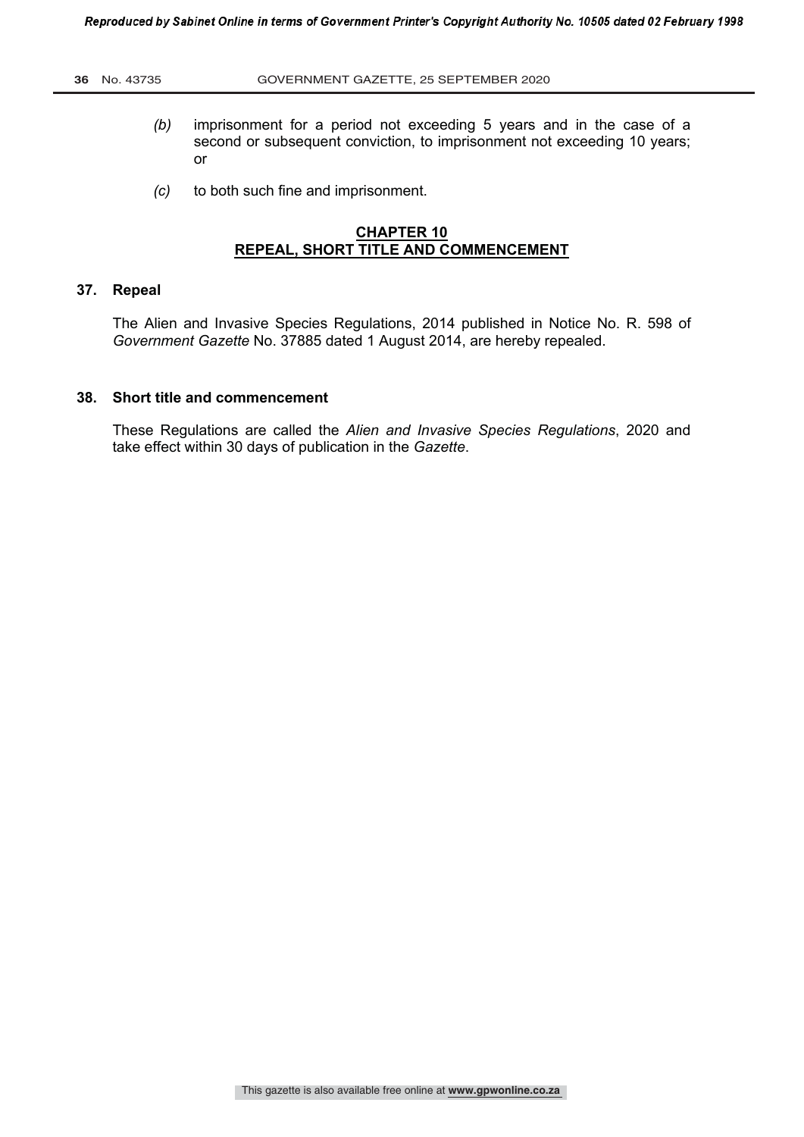- *(b)* imprisonment for a period not exceeding 5 years and in the case of a second or subsequent conviction, to imprisonment not exceeding 10 years; or
- *(c)* to both such fine and imprisonment.

# **CHAPTER 10 REPEAL, SHORT TITLE AND COMMENCEMENT**

#### **37. Repeal**

The Alien and Invasive Species Regulations, 2014 published in Notice No. R. 598 of *Government Gazette* No. 37885 dated 1 August 2014, are hereby repealed.

#### **38. Short title and commencement**

These Regulations are called the *Alien and Invasive Species Regulations*, 2020 and take effect within 30 days of publication in the *Gazette*.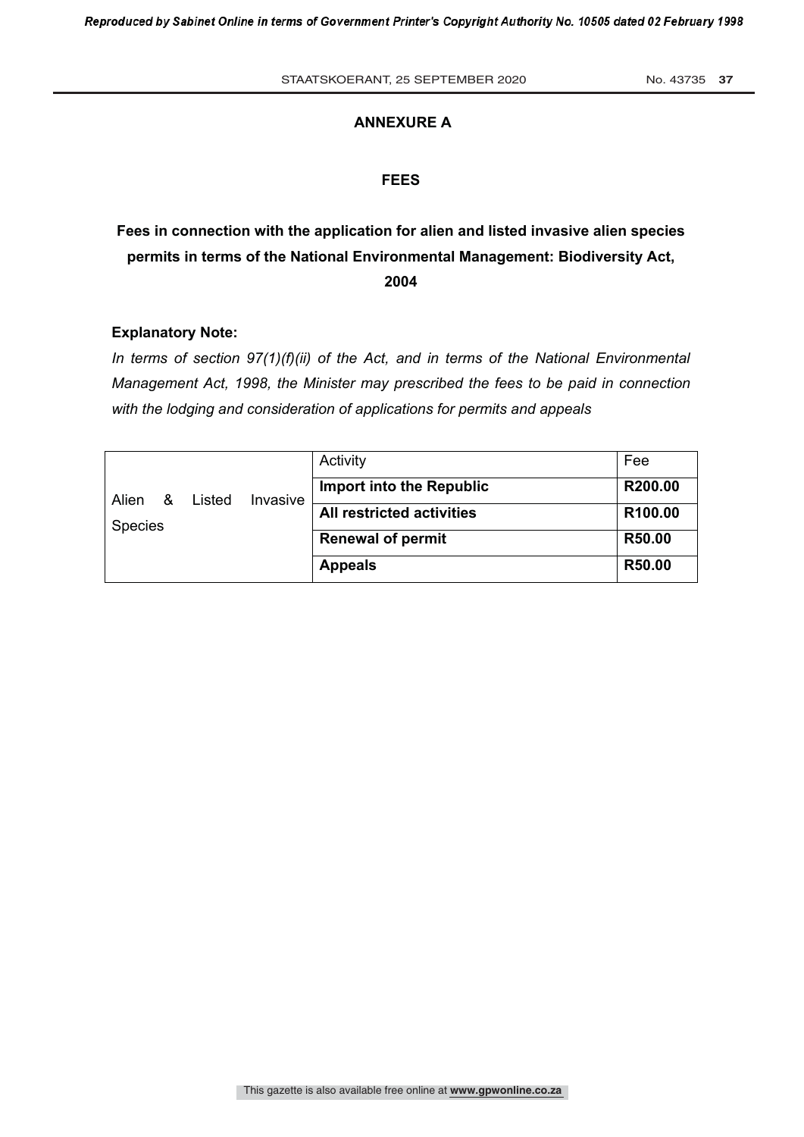#### **ANNEXURE A**

#### **FEES**

# **Fees in connection with the application for alien and listed invasive alien species permits in terms of the National Environmental Management: Biodiversity Act, 2004**

#### **Explanatory Note:**

*In terms of section 97(1)(f)(ii) of the Act, and in terms of the National Environmental Management Act, 1998, the Minister may prescribed the fees to be paid in connection with the lodging and consideration of applications for permits and appeals*

| Alien<br><b>Species</b> | & | Listed | Invasive | Activity                         | Fee     |
|-------------------------|---|--------|----------|----------------------------------|---------|
|                         |   |        |          | <b>Import into the Republic</b>  | R200.00 |
|                         |   |        |          | <b>All restricted activities</b> | R100.00 |
|                         |   |        |          | <b>Renewal of permit</b>         | R50.00  |
|                         |   |        |          | <b>Appeals</b>                   | R50.00  |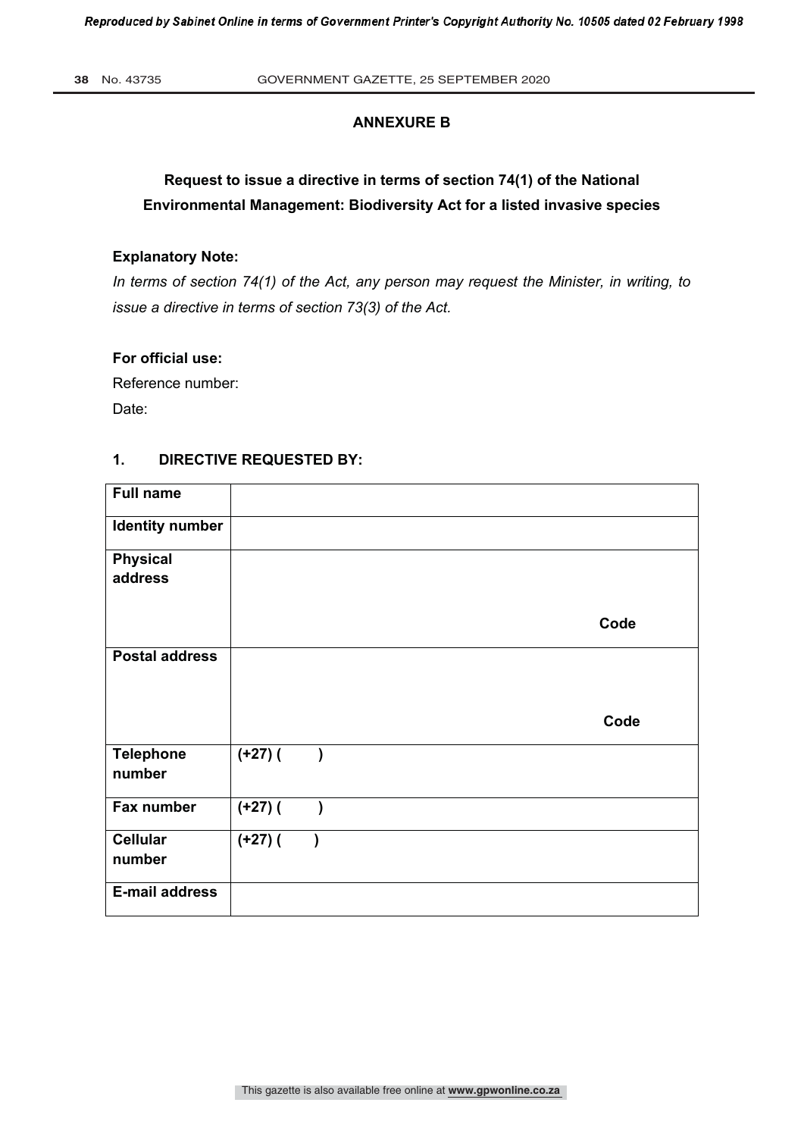# **ANNEXURE B**

# **Request to issue a directive in terms of section 74(1) of the National Environmental Management: Biodiversity Act for a listed invasive species**

# **Explanatory Note:**

*In terms of section 74(1) of the Act, any person may request the Minister, in writing, to issue a directive in terms of section 73(3) of the Act.* 

# **For official use:**

Reference number: Date:

# **1. DIRECTIVE REQUESTED BY:**

| <b>Full name</b>           |                |               |  |      |
|----------------------------|----------------|---------------|--|------|
| <b>Identity number</b>     |                |               |  |      |
| <b>Physical</b>            |                |               |  |      |
| address                    |                |               |  |      |
|                            |                |               |  | Code |
| <b>Postal address</b>      |                |               |  |      |
|                            |                |               |  | Code |
| <b>Telephone</b><br>number | $(1+27)$ (     | $\lambda$     |  |      |
| Fax number                 | $\sqrt{+27}$ ( | $\mathcal{E}$ |  |      |
| <b>Cellular</b><br>number  | $(+27)$ (      |               |  |      |
| <b>E-mail address</b>      |                |               |  |      |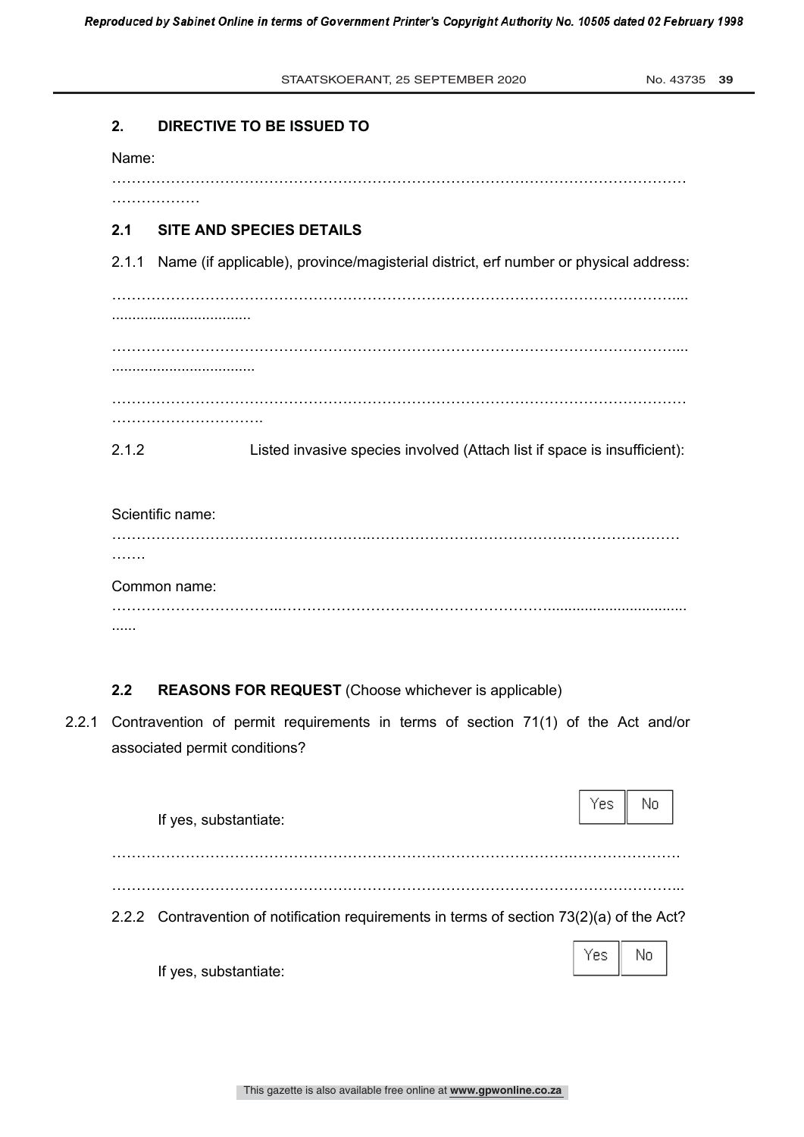No. 43735 39

# **2. DIRECTIVE TO BE ISSUED TO**

Name:

………………

………………………………………………………………………………………………………

# **2.1 SITE AND SPECIES DETAILS**

2.1.1 Name (if applicable), province/magisterial district, erf number or physical address:

……………………………………………………………………………………………………....

……………………………………………………………………………………………………....

...................................

…………………………………

..................................

………………………………………………………………………………………………………

2.1.2 Listed invasive species involved (Attach list if space is insufficient):

Scientific name: ……………………………………………..……………………………………………………… ……… Common name: ……………………………..……………………………………………….................................. ......

# **2.2 REASONS FOR REQUEST** (Choose whichever is applicable)

2.2.1 Contravention of permit requirements in terms of section 71(1) of the Act and/or associated permit conditions?

|                                                                                           |     | No  |  |
|-------------------------------------------------------------------------------------------|-----|-----|--|
| If yes, substantiate:                                                                     |     |     |  |
|                                                                                           |     |     |  |
| 2.2.2 Contravention of notification requirements in terms of section 73(2)(a) of the Act? |     |     |  |
| If yes, substantiate:                                                                     | Yes | No. |  |